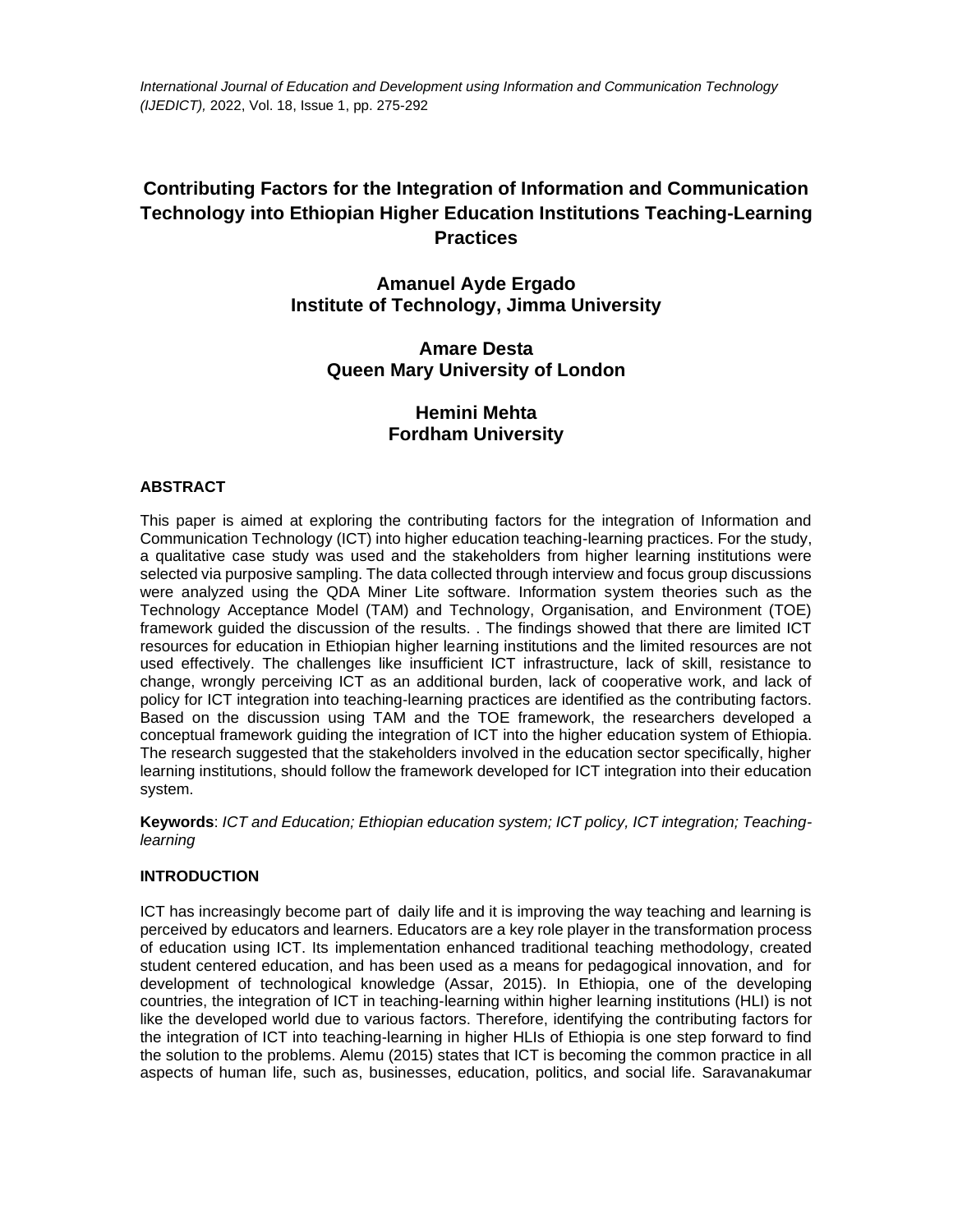*International Journal of Education and Development using Information and Communication Technology (IJEDICT),* 2022, Vol. 18, Issue 1, pp. 275-292

# **Contributing Factors for the Integration of Information and Communication Technology into Ethiopian Higher Education Institutions Teaching-Learning Practices**

## **Amanuel Ayde Ergado Institute of Technology, Jimma University**

## **Amare Desta Queen Mary University of London**

# **Hemini Mehta Fordham University**

## **ABSTRACT**

This paper is aimed at exploring the contributing factors for the integration of Information and Communication Technology (ICT) into higher education teaching-learning practices. For the study, a qualitative case study was used and the stakeholders from higher learning institutions were selected via purposive sampling. The data collected through interview and focus group discussions were analyzed using the QDA Miner Lite software. Information system theories such as the Technology Acceptance Model (TAM) and Technology, Organisation, and Environment (TOE) framework guided the discussion of the results. . The findings showed that there are limited ICT resources for education in Ethiopian higher learning institutions and the limited resources are not used effectively. The challenges like insufficient ICT infrastructure, lack of skill, resistance to change, wrongly perceiving ICT as an additional burden, lack of cooperative work, and lack of policy for ICT integration into teaching-learning practices are identified as the contributing factors. Based on the discussion using TAM and the TOE framework, the researchers developed a conceptual framework guiding the integration of ICT into the higher education system of Ethiopia. The research suggested that the stakeholders involved in the education sector specifically, higher learning institutions, should follow the framework developed for ICT integration into their education system.

**Keywords**: *ICT and Education; Ethiopian education system; ICT policy, ICT integration; Teachinglearning*

## **INTRODUCTION**

ICT has increasingly become part of daily life and it is improving the way teaching and learning is perceived by educators and learners. Educators are a key role player in the transformation process of education using ICT. Its implementation enhanced traditional teaching methodology, created student centered education, and has been used as a means for pedagogical innovation, and for development of technological knowledge (Assar, 2015). In Ethiopia, one of the developing countries, the integration of ICT in teaching-learning within higher learning institutions (HLI) is not like the developed world due to various factors. Therefore, identifying the contributing factors for the integration of ICT into teaching-learning in higher HLIs of Ethiopia is one step forward to find the solution to the problems. Alemu (2015) states that ICT is becoming the common practice in all aspects of human life, such as, businesses, education, politics, and social life. Saravanakumar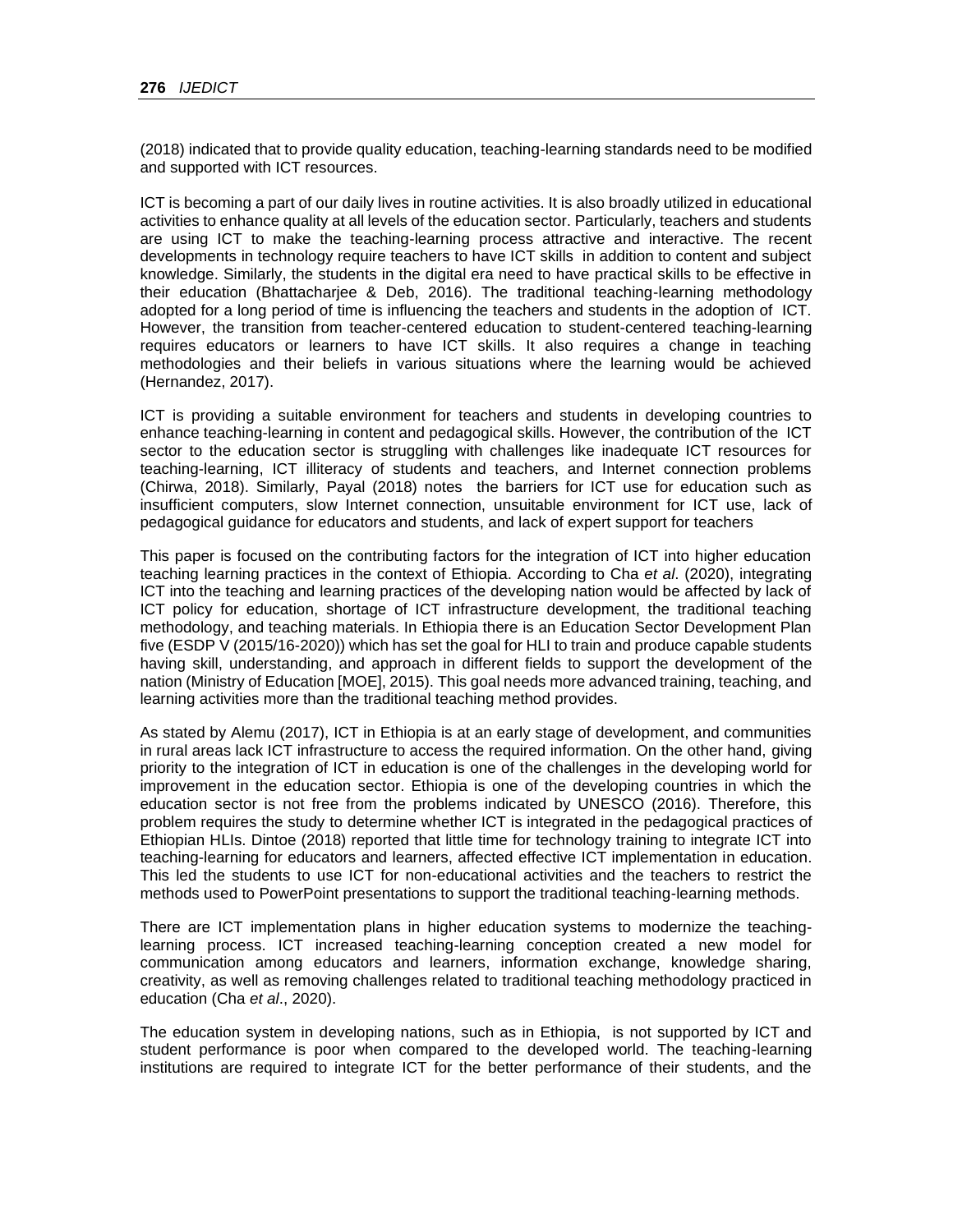(2018) indicated that to provide quality education, teaching-learning standards need to be modified and supported with ICT resources.

ICT is becoming a part of our daily lives in routine activities. It is also broadly utilized in educational activities to enhance quality at all levels of the education sector. Particularly, teachers and students are using ICT to make the teaching-learning process attractive and interactive. The recent developments in technology require teachers to have ICT skills in addition to content and subject knowledge. Similarly, the students in the digital era need to have practical skills to be effective in their education (Bhattacharjee & Deb, 2016). The traditional teaching-learning methodology adopted for a long period of time is influencing the teachers and students in the adoption of ICT. However, the transition from teacher-centered education to student-centered teaching-learning requires educators or learners to have ICT skills. It also requires a change in teaching methodologies and their beliefs in various situations where the learning would be achieved (Hernandez, 2017).

ICT is providing a suitable environment for teachers and students in developing countries to enhance teaching-learning in content and pedagogical skills. However, the contribution of the ICT sector to the education sector is struggling with challenges like inadequate ICT resources for teaching-learning, ICT illiteracy of students and teachers, and Internet connection problems (Chirwa, 2018). Similarly, Payal (2018) notes the barriers for ICT use for education such as insufficient computers, slow Internet connection, unsuitable environment for ICT use, lack of pedagogical guidance for educators and students, and lack of expert support for teachers

This paper is focused on the contributing factors for the integration of ICT into higher education teaching learning practices in the context of Ethiopia. According to Cha *et al*. (2020), integrating ICT into the teaching and learning practices of the developing nation would be affected by lack of ICT policy for education, shortage of ICT infrastructure development, the traditional teaching methodology, and teaching materials. In Ethiopia there is an Education Sector Development Plan five (ESDP V (2015/16-2020)) which has set the goal for HLI to train and produce capable students having skill, understanding, and approach in different fields to support the development of the nation (Ministry of Education [MOE], 2015). This goal needs more advanced training, teaching, and learning activities more than the traditional teaching method provides.

As stated by Alemu (2017), ICT in Ethiopia is at an early stage of development, and communities in rural areas lack ICT infrastructure to access the required information. On the other hand, giving priority to the integration of ICT in education is one of the challenges in the developing world for improvement in the education sector. Ethiopia is one of the developing countries in which the education sector is not free from the problems indicated by UNESCO (2016). Therefore, this problem requires the study to determine whether ICT is integrated in the pedagogical practices of Ethiopian HLIs. Dintoe (2018) reported that little time for technology training to integrate ICT into teaching-learning for educators and learners, affected effective ICT implementation in education. This led the students to use ICT for non-educational activities and the teachers to restrict the methods used to PowerPoint presentations to support the traditional teaching-learning methods.

There are ICT implementation plans in higher education systems to modernize the teachinglearning process. ICT increased teaching-learning conception created a new model for communication among educators and learners, information exchange, knowledge sharing, creativity, as well as removing challenges related to traditional teaching methodology practiced in education (Cha *et al*., 2020).

The education system in developing nations, such as in Ethiopia, is not supported by ICT and student performance is poor when compared to the developed world. The teaching-learning institutions are required to integrate ICT for the better performance of their students, and the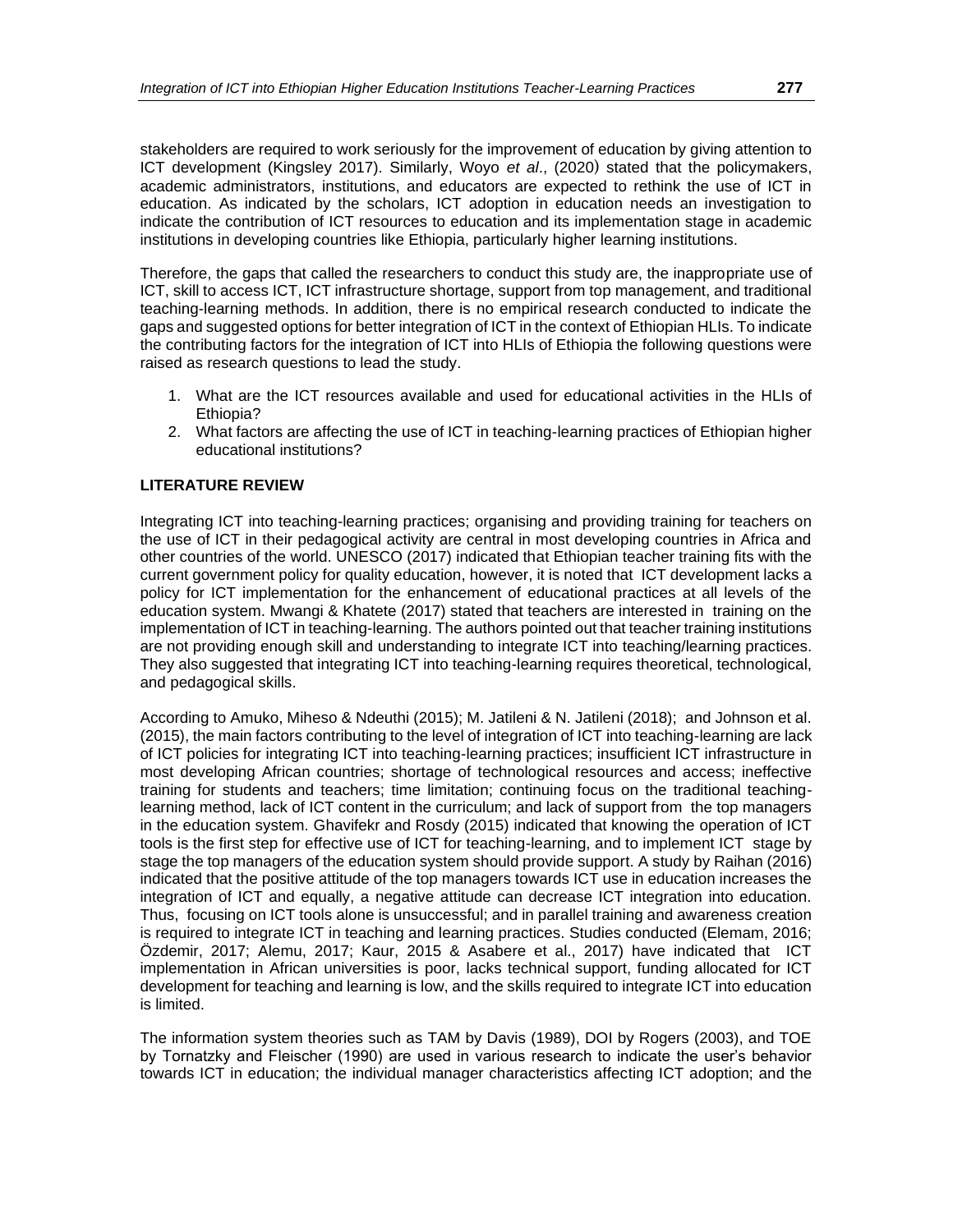stakeholders are required to work seriously for the improvement of education by giving attention to ICT development (Kingsley 2017). Similarly, Woyo *et al*., (2020) stated that the policymakers, academic administrators, institutions, and educators are expected to rethink the use of ICT in education. As indicated by the scholars, ICT adoption in education needs an investigation to indicate the contribution of ICT resources to education and its implementation stage in academic institutions in developing countries like Ethiopia, particularly higher learning institutions.

Therefore, the gaps that called the researchers to conduct this study are, the inappropriate use of ICT, skill to access ICT, ICT infrastructure shortage, support from top management, and traditional teaching-learning methods. In addition, there is no empirical research conducted to indicate the gaps and suggested options for better integration of ICT in the context of Ethiopian HLIs. To indicate the contributing factors for the integration of ICT into HLIs of Ethiopia the following questions were raised as research questions to lead the study.

- 1. What are the ICT resources available and used for educational activities in the HLIs of Ethiopia?
- 2. What factors are affecting the use of ICT in teaching-learning practices of Ethiopian higher educational institutions?

## **LITERATURE REVIEW**

Integrating ICT into teaching-learning practices; organising and providing training for teachers on the use of ICT in their pedagogical activity are central in most developing countries in Africa and other countries of the world. UNESCO (2017) indicated that Ethiopian teacher training fits with the current government policy for quality education, however, it is noted that ICT development lacks a policy for ICT implementation for the enhancement of educational practices at all levels of the education system. Mwangi & Khatete (2017) stated that teachers are interested in training on the implementation of ICT in teaching-learning. The authors pointed out that teacher training institutions are not providing enough skill and understanding to integrate ICT into teaching/learning practices. They also suggested that integrating ICT into teaching-learning requires theoretical, technological, and pedagogical skills.

According to Amuko, Miheso & Ndeuthi (2015); M. Jatileni & N. Jatileni (2018); and Johnson et al. (2015), the main factors contributing to the level of integration of ICT into teaching-learning are lack of ICT policies for integrating ICT into teaching-learning practices; insufficient ICT infrastructure in most developing African countries; shortage of technological resources and access; ineffective training for students and teachers; time limitation; continuing focus on the traditional teachinglearning method, lack of ICT content in the curriculum; and lack of support from the top managers in the education system. Ghavifekr and Rosdy (2015) indicated that knowing the operation of ICT tools is the first step for effective use of ICT for teaching-learning, and to implement ICT stage by stage the top managers of the education system should provide support. A study by Raihan (2016) indicated that the positive attitude of the top managers towards ICT use in education increases the integration of ICT and equally, a negative attitude can decrease ICT integration into education. Thus, focusing on ICT tools alone is unsuccessful; and in parallel training and awareness creation is required to integrate ICT in teaching and learning practices. Studies conducted (Elemam, 2016; Özdemir, 2017; Alemu, 2017; Kaur, 2015 & Asabere et al., 2017) have indicated that ICT implementation in African universities is poor, lacks technical support, funding allocated for ICT development for teaching and learning is low, and the skills required to integrate ICT into education is limited.

The information system theories such as TAM by Davis (1989), DOI by Rogers (2003), and TOE by Tornatzky and Fleischer (1990) are used in various research to indicate the user's behavior towards ICT in education; the individual manager characteristics affecting ICT adoption; and the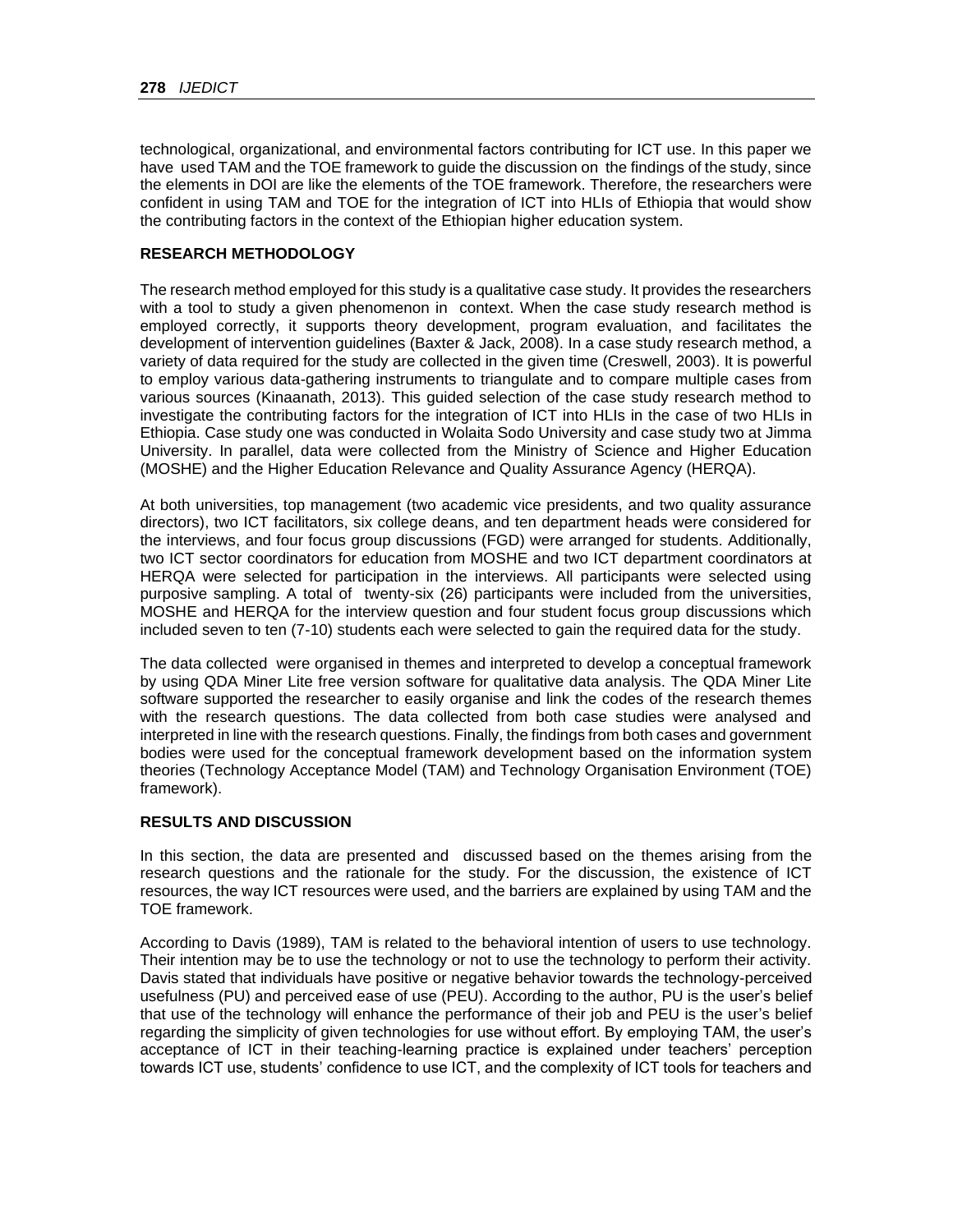technological, organizational, and environmental factors contributing for ICT use. In this paper we have used TAM and the TOE framework to guide the discussion on the findings of the study, since the elements in DOI are like the elements of the TOE framework. Therefore, the researchers were confident in using TAM and TOE for the integration of ICT into HLIs of Ethiopia that would show the contributing factors in the context of the Ethiopian higher education system.

## **RESEARCH METHODOLOGY**

The research method employed for this study is a qualitative case study. It provides the researchers with a tool to study a given phenomenon in context. When the case study research method is employed correctly, it supports theory development, program evaluation, and facilitates the development of intervention guidelines (Baxter & Jack, 2008). In a case study research method, a variety of data required for the study are collected in the given time (Creswell, 2003). It is powerful to employ various data-gathering instruments to triangulate and to compare multiple cases from various sources (Kinaanath, 2013). This guided selection of the case study research method to investigate the contributing factors for the integration of ICT into HLIs in the case of two HLIs in Ethiopia. Case study one was conducted in Wolaita Sodo University and case study two at Jimma University. In parallel, data were collected from the Ministry of Science and Higher Education (MOSHE) and the Higher Education Relevance and Quality Assurance Agency (HERQA).

At both universities, top management (two academic vice presidents, and two quality assurance directors), two ICT facilitators, six college deans, and ten department heads were considered for the interviews, and four focus group discussions (FGD) were arranged for students. Additionally, two ICT sector coordinators for education from MOSHE and two ICT department coordinators at HERQA were selected for participation in the interviews. All participants were selected using purposive sampling. A total of twenty-six (26) participants were included from the universities, MOSHE and HERQA for the interview question and four student focus group discussions which included seven to ten (7-10) students each were selected to gain the required data for the study.

The data collected were organised in themes and interpreted to develop a conceptual framework by using QDA Miner Lite free version software for qualitative data analysis. The QDA Miner Lite software supported the researcher to easily organise and link the codes of the research themes with the research questions. The data collected from both case studies were analysed and interpreted in line with the research questions. Finally, the findings from both cases and government bodies were used for the conceptual framework development based on the information system theories (Technology Acceptance Model (TAM) and Technology Organisation Environment (TOE) framework).

## **RESULTS AND DISCUSSION**

In this section, the data are presented and discussed based on the themes arising from the research questions and the rationale for the study. For the discussion, the existence of ICT resources, the way ICT resources were used, and the barriers are explained by using TAM and the TOE framework.

According to Davis (1989), TAM is related to the behavioral intention of users to use technology. Their intention may be to use the technology or not to use the technology to perform their activity. Davis stated that individuals have positive or negative behavior towards the technology-perceived usefulness (PU) and perceived ease of use (PEU). According to the author, PU is the user's belief that use of the technology will enhance the performance of their job and PEU is the user's belief regarding the simplicity of given technologies for use without effort. By employing TAM, the user's acceptance of ICT in their teaching-learning practice is explained under teachers' perception towards ICT use, students' confidence to use ICT, and the complexity of ICT tools for teachers and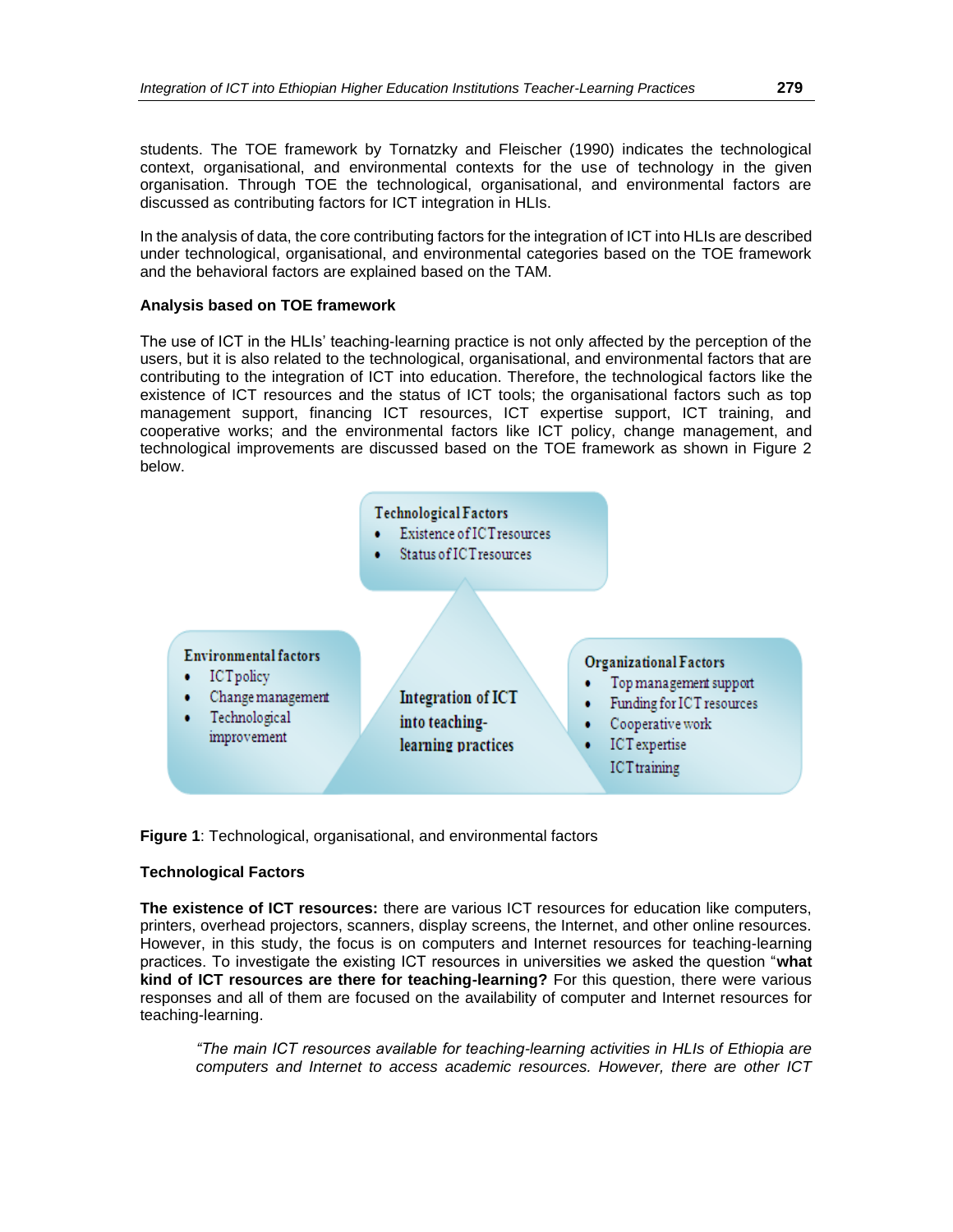students. The TOE framework by Tornatzky and Fleischer (1990) indicates the technological context, organisational, and environmental contexts for the use of technology in the given organisation. Through TOE the technological, organisational, and environmental factors are discussed as contributing factors for ICT integration in HLIs.

In the analysis of data, the core contributing factors for the integration of ICT into HLIs are described under technological, organisational, and environmental categories based on the TOE framework and the behavioral factors are explained based on the TAM.

## **Analysis based on TOE framework**

The use of ICT in the HLIs' teaching-learning practice is not only affected by the perception of the users, but it is also related to the technological, organisational, and environmental factors that are contributing to the integration of ICT into education. Therefore, the technological factors like the existence of ICT resources and the status of ICT tools; the organisational factors such as top management support, financing ICT resources, ICT expertise support, ICT training, and cooperative works; and the environmental factors like ICT policy, change management, and technological improvements are discussed based on the TOE framework as shown in Figure 2 below.



**Figure 1**: Technological, organisational, and environmental factors

## **Technological Factors**

**The existence of ICT resources:** there are various ICT resources for education like computers, printers, overhead projectors, scanners, display screens, the Internet, and other online resources. However, in this study, the focus is on computers and Internet resources for teaching-learning practices. To investigate the existing ICT resources in universities we asked the question "**what kind of ICT resources are there for teaching-learning?** For this question, there were various responses and all of them are focused on the availability of computer and Internet resources for teaching-learning.

*"The main ICT resources available for teaching-learning activities in HLIs of Ethiopia are computers and Internet to access academic resources. However, there are other ICT*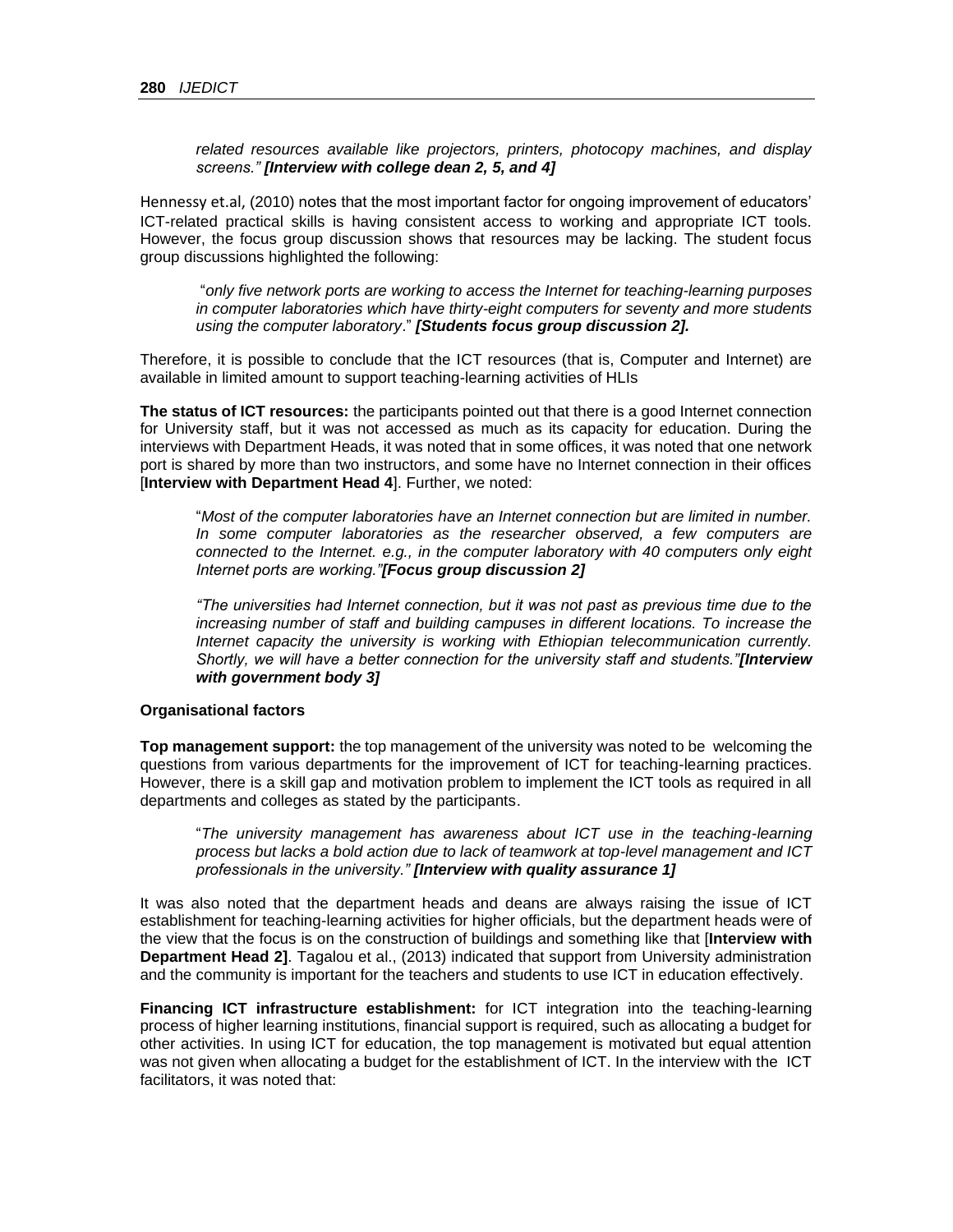*related resources available like projectors, printers, photocopy machines, and display screens." [Interview with college dean 2, 5, and 4]*

Hennessy et.al, (2010) notes that the most important factor for ongoing improvement of educators' ICT-related practical skills is having consistent access to working and appropriate ICT tools. However, the focus group discussion shows that resources may be lacking. The student focus group discussions highlighted the following:

"*only five network ports are working to access the Internet for teaching-learning purposes in computer laboratories which have thirty-eight computers for seventy and more students using the computer laboratory*." *[Students focus group discussion 2].* 

Therefore, it is possible to conclude that the ICT resources (that is, Computer and Internet) are available in limited amount to support teaching-learning activities of HLIs

**The status of ICT resources:** the participants pointed out that there is a good Internet connection for University staff, but it was not accessed as much as its capacity for education. During the interviews with Department Heads, it was noted that in some offices, it was noted that one network port is shared by more than two instructors, and some have no Internet connection in their offices [**Interview with Department Head 4**]. Further, we noted:

"*Most of the computer laboratories have an Internet connection but are limited in number. In some computer laboratories as the researcher observed, a few computers are connected to the Internet. e.g., in the computer laboratory with 40 computers only eight Internet ports are working."[Focus group discussion 2]*

*"The universities had Internet connection, but it was not past as previous time due to the increasing number of staff and building campuses in different locations. To increase the Internet capacity the university is working with Ethiopian telecommunication currently. Shortly, we will have a better connection for the university staff and students."[Interview with government body 3]*

#### **Organisational factors**

**Top management support:** the top management of the university was noted to be welcoming the questions from various departments for the improvement of ICT for teaching-learning practices. However, there is a skill gap and motivation problem to implement the ICT tools as required in all departments and colleges as stated by the participants.

"*The university management has awareness about ICT use in the teaching-learning process but lacks a bold action due to lack of teamwork at top-level management and ICT professionals in the university." [Interview with quality assurance 1]*

It was also noted that the department heads and deans are always raising the issue of ICT establishment for teaching-learning activities for higher officials, but the department heads were of the view that the focus is on the construction of buildings and something like that [**Interview with Department Head 2]**. Tagalou et al., (2013) indicated that support from University administration and the community is important for the teachers and students to use ICT in education effectively.

**Financing ICT infrastructure establishment:** for ICT integration into the teaching-learning process of higher learning institutions, financial support is required, such as allocating a budget for other activities. In using ICT for education, the top management is motivated but equal attention was not given when allocating a budget for the establishment of ICT. In the interview with the ICT facilitators, it was noted that: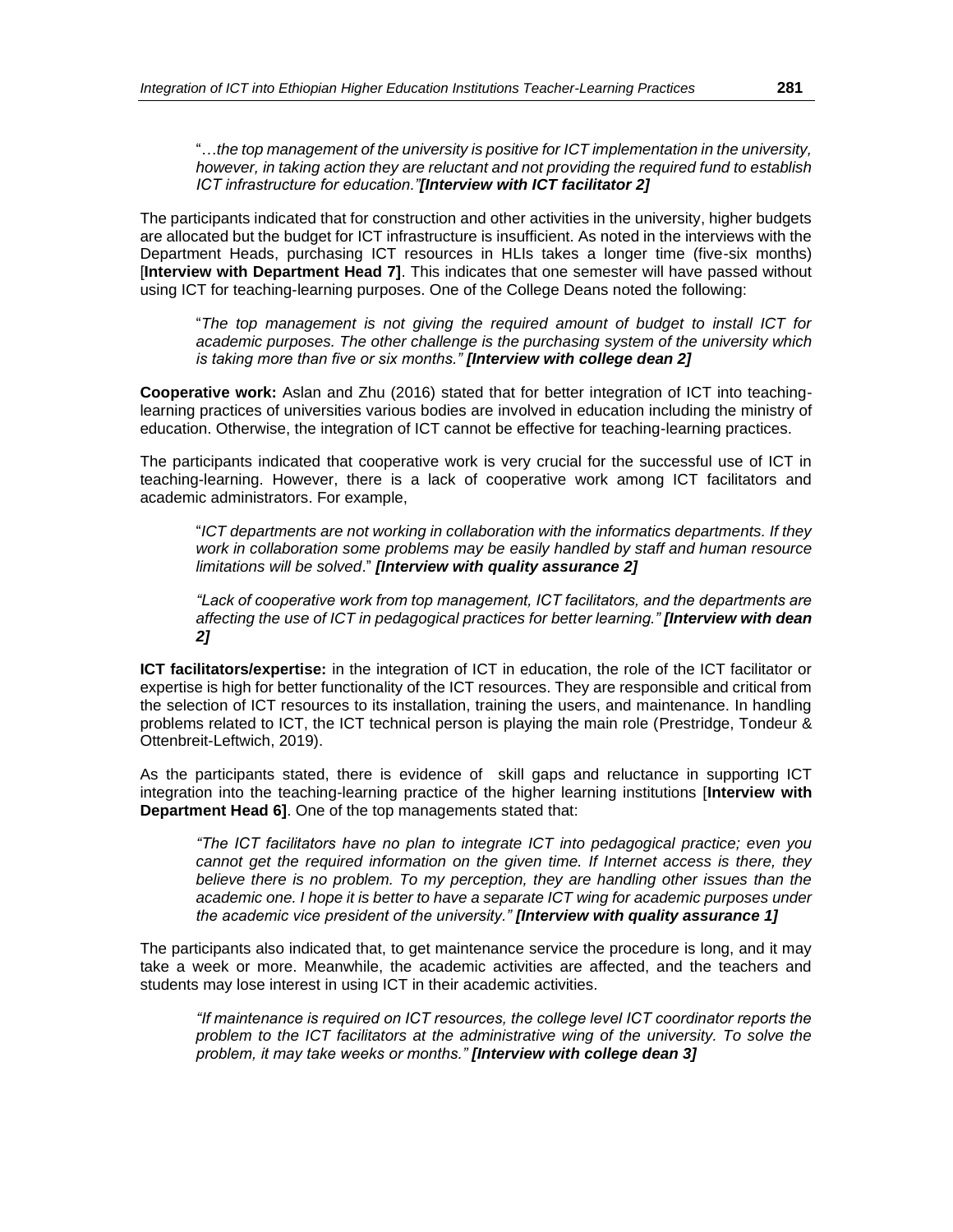"…*the top management of the university is positive for ICT implementation in the university, however, in taking action they are reluctant and not providing the required fund to establish ICT infrastructure for education."[Interview with ICT facilitator 2]*

The participants indicated that for construction and other activities in the university, higher budgets are allocated but the budget for ICT infrastructure is insufficient. As noted in the interviews with the Department Heads, purchasing ICT resources in HLIs takes a longer time (five-six months) [**Interview with Department Head 7]**. This indicates that one semester will have passed without using ICT for teaching-learning purposes. One of the College Deans noted the following:

"*The top management is not giving the required amount of budget to install ICT for academic purposes. The other challenge is the purchasing system of the university which is taking more than five or six months." [Interview with college dean 2]*

**Cooperative work:** Aslan and Zhu (2016) stated that for better integration of ICT into teachinglearning practices of universities various bodies are involved in education including the ministry of education. Otherwise, the integration of ICT cannot be effective for teaching-learning practices.

The participants indicated that cooperative work is very crucial for the successful use of ICT in teaching-learning. However, there is a lack of cooperative work among ICT facilitators and academic administrators. For example,

"*ICT departments are not working in collaboration with the informatics departments. If they work in collaboration some problems may be easily handled by staff and human resource limitations will be solved*." *[Interview with quality assurance 2]*

*"Lack of cooperative work from top management, ICT facilitators, and the departments are affecting the use of ICT in pedagogical practices for better learning." [Interview with dean 2]*

**ICT facilitators/expertise:** in the integration of ICT in education, the role of the ICT facilitator or expertise is high for better functionality of the ICT resources. They are responsible and critical from the selection of ICT resources to its installation, training the users, and maintenance. In handling problems related to ICT, the ICT technical person is playing the main role (Prestridge, Tondeur & Ottenbreit-Leftwich, 2019).

As the participants stated, there is evidence of skill gaps and reluctance in supporting ICT integration into the teaching-learning practice of the higher learning institutions [**Interview with Department Head 6]**. One of the top managements stated that:

*"The ICT facilitators have no plan to integrate ICT into pedagogical practice; even you cannot get the required information on the given time. If Internet access is there, they believe there is no problem. To my perception, they are handling other issues than the academic one. I hope it is better to have a separate ICT wing for academic purposes under the academic vice president of the university." [Interview with quality assurance 1]*

The participants also indicated that, to get maintenance service the procedure is long, and it may take a week or more. Meanwhile, the academic activities are affected, and the teachers and students may lose interest in using ICT in their academic activities.

*"If maintenance is required on ICT resources, the college level ICT coordinator reports the problem to the ICT facilitators at the administrative wing of the university. To solve the problem, it may take weeks or months." [Interview with college dean 3]*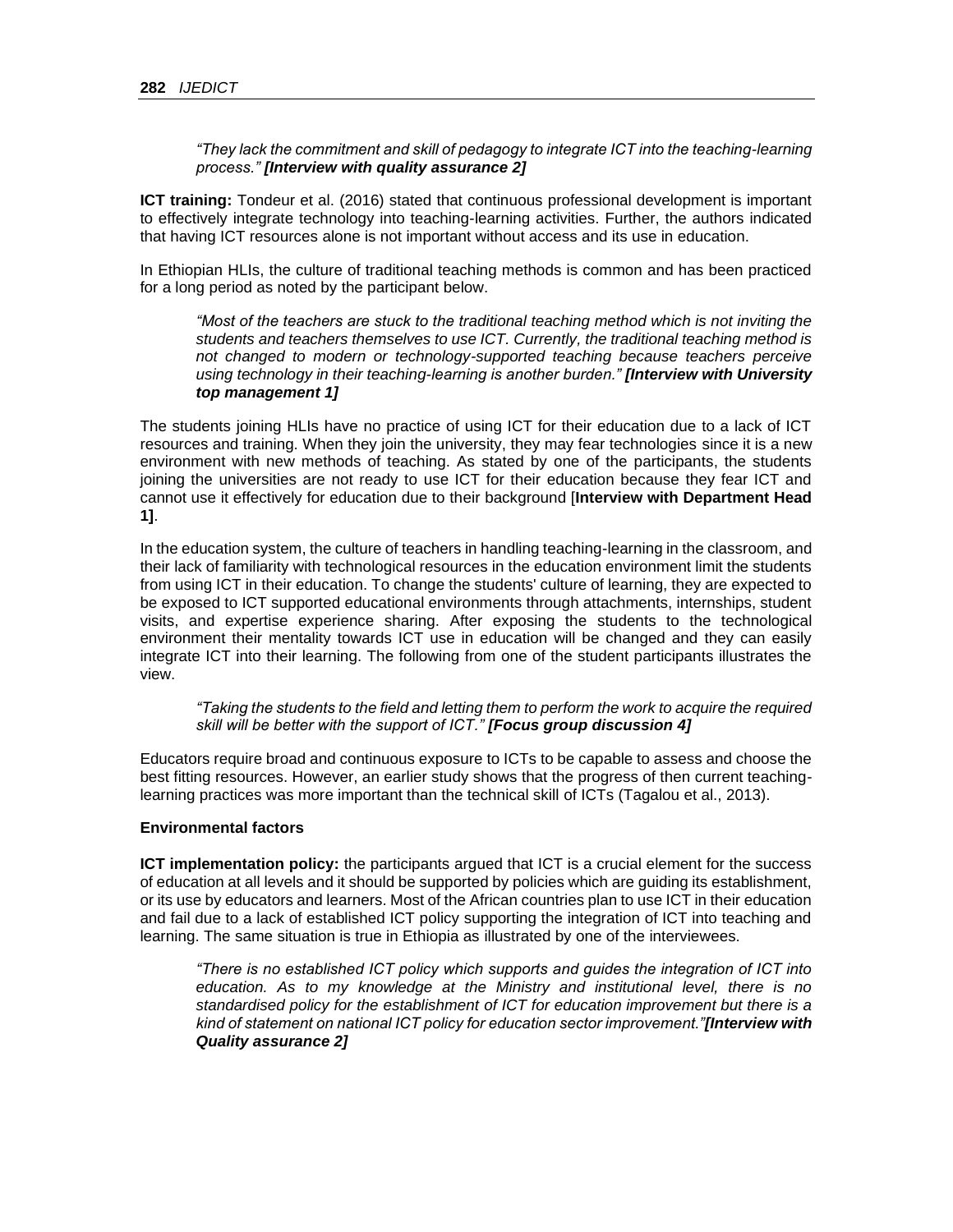*"They lack the commitment and skill of pedagogy to integrate ICT into the teaching-learning process." [Interview with quality assurance 2]*

**ICT training:** Tondeur et al. (2016) stated that continuous professional development is important to effectively integrate technology into teaching-learning activities. Further, the authors indicated that having ICT resources alone is not important without access and its use in education.

In Ethiopian HLIs, the culture of traditional teaching methods is common and has been practiced for a long period as noted by the participant below.

*"Most of the teachers are stuck to the traditional teaching method which is not inviting the students and teachers themselves to use ICT. Currently, the traditional teaching method is not changed to modern or technology-supported teaching because teachers perceive using technology in their teaching-learning is another burden." [Interview with University top management 1]*

The students joining HLIs have no practice of using ICT for their education due to a lack of ICT resources and training. When they join the university, they may fear technologies since it is a new environment with new methods of teaching. As stated by one of the participants, the students joining the universities are not ready to use ICT for their education because they fear ICT and cannot use it effectively for education due to their background [**Interview with Department Head 1]**.

In the education system, the culture of teachers in handling teaching-learning in the classroom, and their lack of familiarity with technological resources in the education environment limit the students from using ICT in their education. To change the students' culture of learning, they are expected to be exposed to ICT supported educational environments through attachments, internships, student visits, and expertise experience sharing. After exposing the students to the technological environment their mentality towards ICT use in education will be changed and they can easily integrate ICT into their learning. The following from one of the student participants illustrates the view.

*"Taking the students to the field and letting them to perform the work to acquire the required skill will be better with the support of ICT." [Focus group discussion 4]*

Educators require broad and continuous exposure to ICTs to be capable to assess and choose the best fitting resources. However, an earlier study shows that the progress of then current teachinglearning practices was more important than the technical skill of ICTs (Tagalou et al., 2013).

#### **Environmental factors**

**ICT implementation policy:** the participants argued that ICT is a crucial element for the success of education at all levels and it should be supported by policies which are guiding its establishment, or its use by educators and learners. Most of the African countries plan to use ICT in their education and fail due to a lack of established ICT policy supporting the integration of ICT into teaching and learning. The same situation is true in Ethiopia as illustrated by one of the interviewees.

*"There is no established ICT policy which supports and guides the integration of ICT into education. As to my knowledge at the Ministry and institutional level, there is no standardised policy for the establishment of ICT for education improvement but there is a kind of statement on national ICT policy for education sector improvement."[Interview with Quality assurance 2]*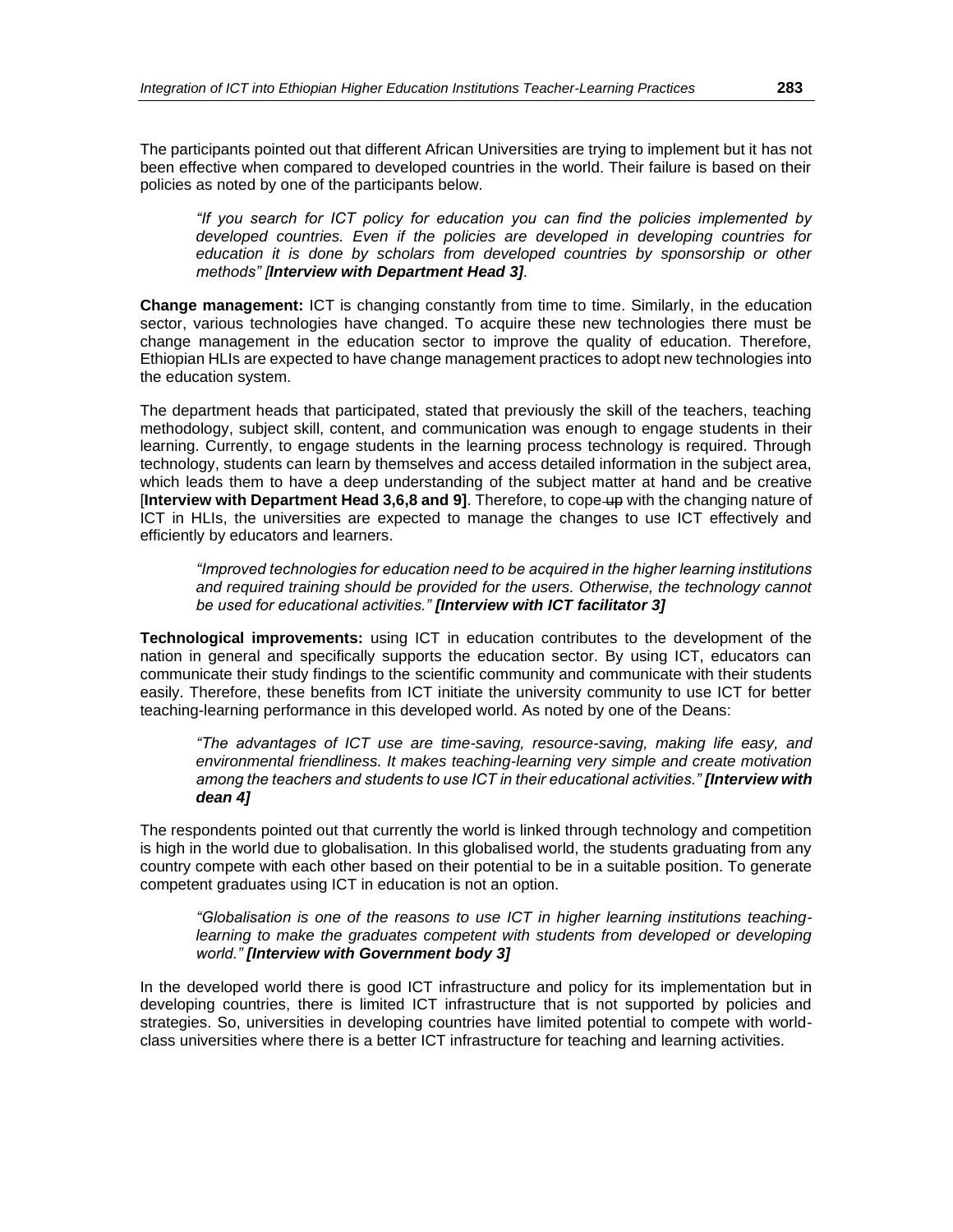The participants pointed out that different African Universities are trying to implement but it has not been effective when compared to developed countries in the world. Their failure is based on their policies as noted by one of the participants below.

*"If you search for ICT policy for education you can find the policies implemented by developed countries. Even if the policies are developed in developing countries for education it is done by scholars from developed countries by sponsorship or other methods" [Interview with Department Head 3].*

**Change management:** ICT is changing constantly from time to time. Similarly, in the education sector, various technologies have changed. To acquire these new technologies there must be change management in the education sector to improve the quality of education. Therefore, Ethiopian HLIs are expected to have change management practices to adopt new technologies into the education system.

The department heads that participated, stated that previously the skill of the teachers, teaching methodology, subject skill, content, and communication was enough to engage students in their learning. Currently, to engage students in the learning process technology is required. Through technology, students can learn by themselves and access detailed information in the subject area, which leads them to have a deep understanding of the subject matter at hand and be creative [**Interview with Department Head 3,6,8 and 9]**. Therefore, to cope up with the changing nature of ICT in HLIs, the universities are expected to manage the changes to use ICT effectively and efficiently by educators and learners.

*"Improved technologies for education need to be acquired in the higher learning institutions and required training should be provided for the users. Otherwise, the technology cannot be used for educational activities." [Interview with ICT facilitator 3]*

**Technological improvements:** using ICT in education contributes to the development of the nation in general and specifically supports the education sector. By using ICT, educators can communicate their study findings to the scientific community and communicate with their students easily. Therefore, these benefits from ICT initiate the university community to use ICT for better teaching-learning performance in this developed world. As noted by one of the Deans:

*"The advantages of ICT use are time-saving, resource-saving, making life easy, and environmental friendliness. It makes teaching-learning very simple and create motivation among the teachers and students to use ICT in their educational activities." [Interview with dean 4]*

The respondents pointed out that currently the world is linked through technology and competition is high in the world due to globalisation. In this globalised world, the students graduating from any country compete with each other based on their potential to be in a suitable position. To generate competent graduates using ICT in education is not an option.

*"Globalisation is one of the reasons to use ICT in higher learning institutions teaching*learning to make the graduates competent with students from developed or developing *world." [Interview with Government body 3]*

In the developed world there is good ICT infrastructure and policy for its implementation but in developing countries, there is limited ICT infrastructure that is not supported by policies and strategies. So, universities in developing countries have limited potential to compete with worldclass universities where there is a better ICT infrastructure for teaching and learning activities.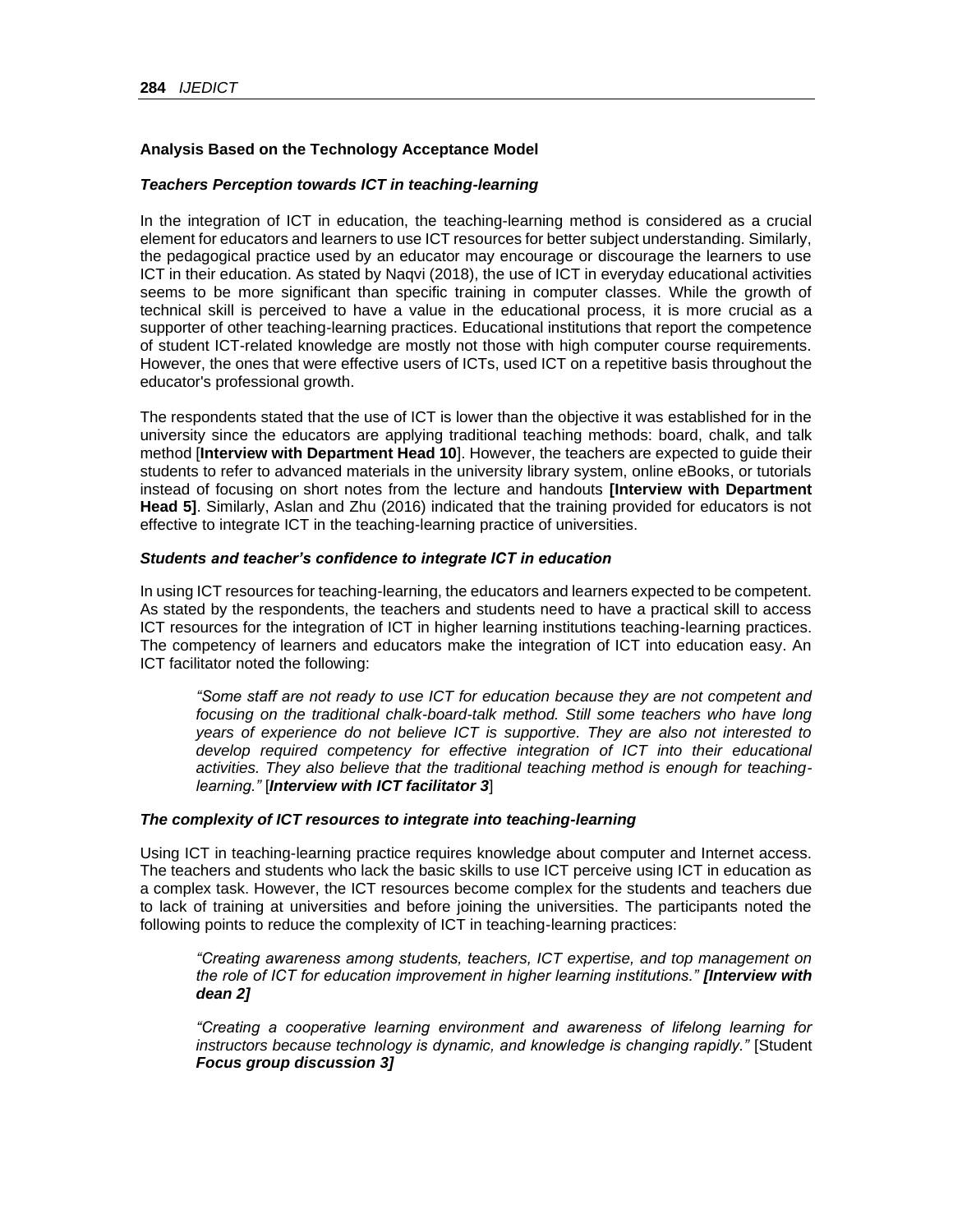## **Analysis Based on the Technology Acceptance Model**

#### *Teachers Perception towards ICT in teaching-learning*

In the integration of ICT in education, the teaching-learning method is considered as a crucial element for educators and learners to use ICT resources for better subject understanding. Similarly, the pedagogical practice used by an educator may encourage or discourage the learners to use ICT in their education. As stated by Naqvi (2018), the use of ICT in everyday educational activities seems to be more significant than specific training in computer classes. While the growth of technical skill is perceived to have a value in the educational process, it is more crucial as a supporter of other teaching-learning practices. Educational institutions that report the competence of student ICT-related knowledge are mostly not those with high computer course requirements. However, the ones that were effective users of ICTs, used ICT on a repetitive basis throughout the educator's professional growth.

The respondents stated that the use of ICT is lower than the objective it was established for in the university since the educators are applying traditional teaching methods: board, chalk, and talk method [**Interview with Department Head 10**]. However, the teachers are expected to guide their students to refer to advanced materials in the university library system, online eBooks, or tutorials instead of focusing on short notes from the lecture and handouts **[Interview with Department Head 5]**. Similarly, Aslan and Zhu (2016) indicated that the training provided for educators is not effective to integrate ICT in the teaching-learning practice of universities.

#### *Students and teacher's confidence to integrate ICT in education*

In using ICT resources for teaching-learning, the educators and learners expected to be competent. As stated by the respondents, the teachers and students need to have a practical skill to access ICT resources for the integration of ICT in higher learning institutions teaching-learning practices. The competency of learners and educators make the integration of ICT into education easy. An ICT facilitator noted the following:

*"Some staff are not ready to use ICT for education because they are not competent and focusing on the traditional chalk-board-talk method. Still some teachers who have long years of experience do not believe ICT is supportive. They are also not interested to develop required competency for effective integration of ICT into their educational activities. They also believe that the traditional teaching method is enough for teachinglearning."* [*Interview with ICT facilitator 3*]

#### *The complexity of ICT resources to integrate into teaching-learning*

Using ICT in teaching-learning practice requires knowledge about computer and Internet access. The teachers and students who lack the basic skills to use ICT perceive using ICT in education as a complex task. However, the ICT resources become complex for the students and teachers due to lack of training at universities and before joining the universities. The participants noted the following points to reduce the complexity of ICT in teaching-learning practices:

*"Creating awareness among students, teachers, ICT expertise, and top management on the role of ICT for education improvement in higher learning institutions." [Interview with dean 2]*

*"Creating a cooperative learning environment and awareness of lifelong learning for instructors because technology is dynamic, and knowledge is changing rapidly."* [Student *Focus group discussion 3]*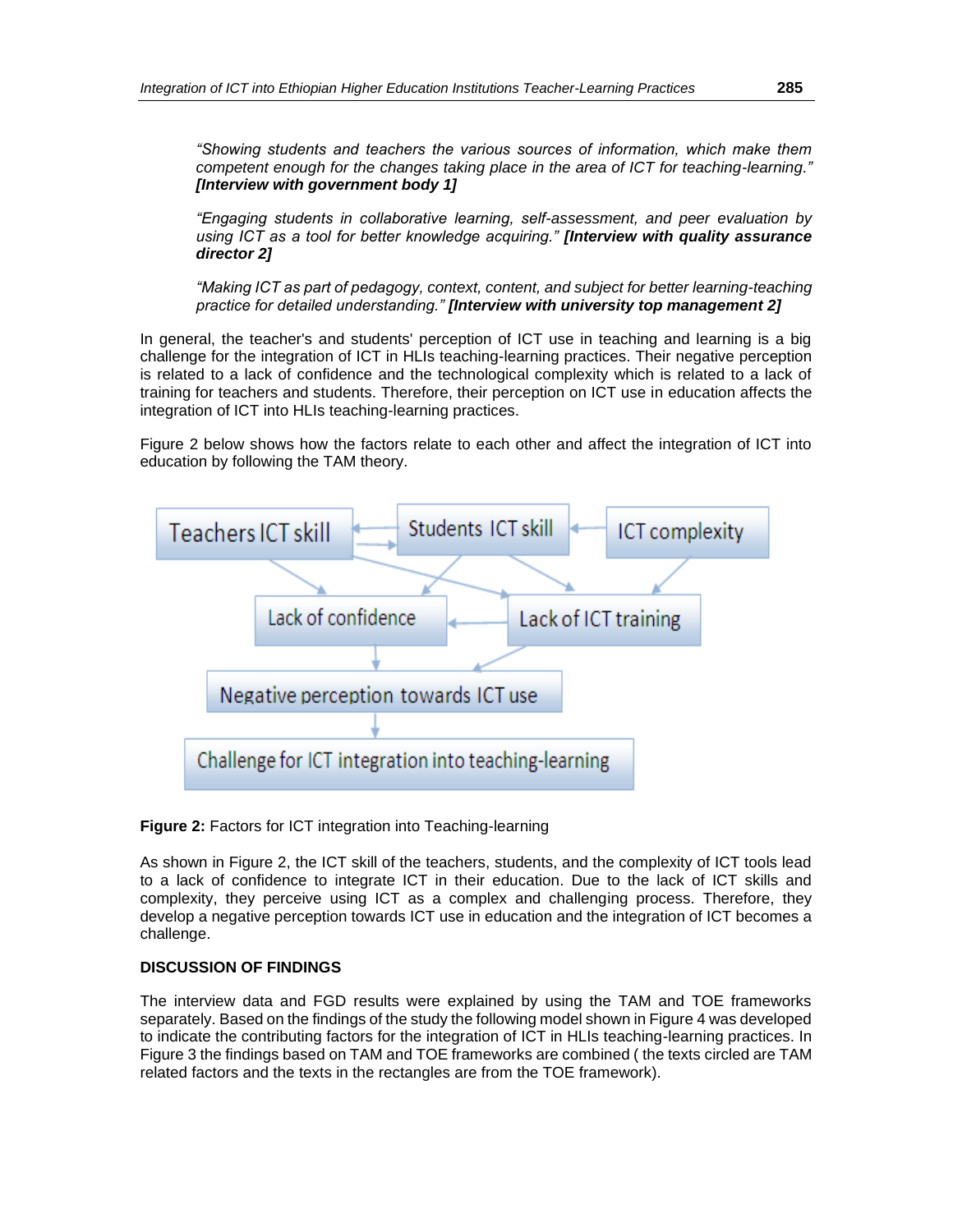*"Showing students and teachers the various sources of information, which make them competent enough for the changes taking place in the area of ICT for teaching-learning." [Interview with government body 1]*

*"Engaging students in collaborative learning, self-assessment, and peer evaluation by using ICT as a tool for better knowledge acquiring." [Interview with quality assurance director 2]*

*"Making ICT as part of pedagogy, context, content, and subject for better learning-teaching practice for detailed understanding." [Interview with university top management 2]*

In general, the teacher's and students' perception of ICT use in teaching and learning is a big challenge for the integration of ICT in HLIs teaching-learning practices. Their negative perception is related to a lack of confidence and the technological complexity which is related to a lack of training for teachers and students. Therefore, their perception on ICT use in education affects the integration of ICT into HLIs teaching-learning practices.

Figure 2 below shows how the factors relate to each other and affect the integration of ICT into education by following the TAM theory.



## **Figure 2:** Factors for ICT integration into Teaching-learning

As shown in Figure 2, the ICT skill of the teachers, students, and the complexity of ICT tools lead to a lack of confidence to integrate ICT in their education. Due to the lack of ICT skills and complexity, they perceive using ICT as a complex and challenging process. Therefore, they develop a negative perception towards ICT use in education and the integration of ICT becomes a challenge.

## **DISCUSSION OF FINDINGS**

The interview data and FGD results were explained by using the TAM and TOE frameworks separately. Based on the findings of the study the following model shown in Figure 4 was developed to indicate the contributing factors for the integration of ICT in HLIs teaching-learning practices. In Figure 3 the findings based on TAM and TOE frameworks are combined ( the texts circled are TAM related factors and the texts in the rectangles are from the TOE framework).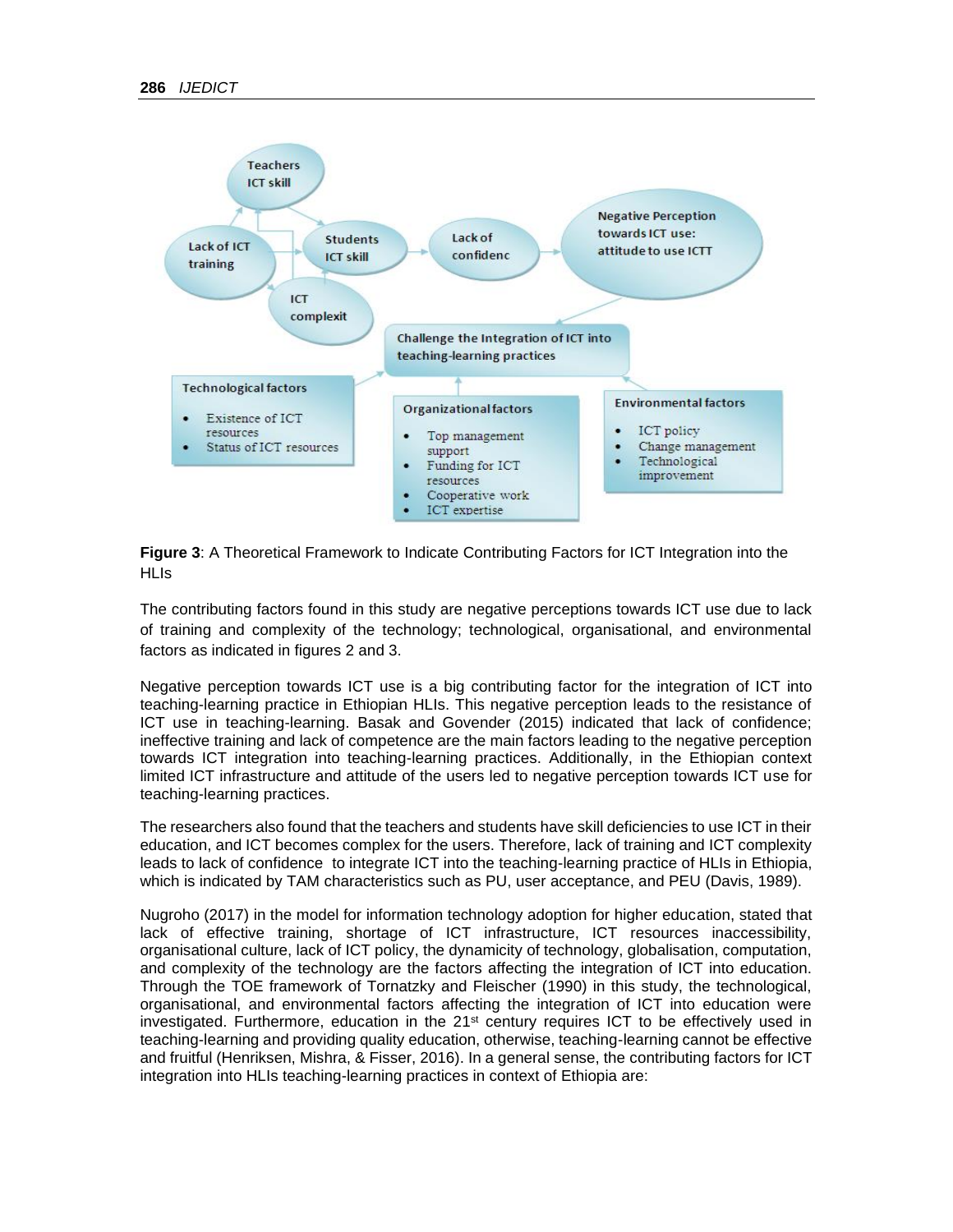

**Figure 3**: A Theoretical Framework to Indicate Contributing Factors for ICT Integration into the **HLIs** 

The contributing factors found in this study are negative perceptions towards ICT use due to lack of training and complexity of the technology; technological, organisational, and environmental factors as indicated in figures 2 and 3.

Negative perception towards ICT use is a big contributing factor for the integration of ICT into teaching-learning practice in Ethiopian HLIs. This negative perception leads to the resistance of ICT use in teaching-learning. Basak and Govender (2015) indicated that lack of confidence; ineffective training and lack of competence are the main factors leading to the negative perception towards ICT integration into teaching-learning practices. Additionally, in the Ethiopian context limited ICT infrastructure and attitude of the users led to negative perception towards ICT use for teaching-learning practices.

The researchers also found that the teachers and students have skill deficiencies to use ICT in their education, and ICT becomes complex for the users. Therefore, lack of training and ICT complexity leads to lack of confidence to integrate ICT into the teaching-learning practice of HLIs in Ethiopia, which is indicated by TAM characteristics such as PU, user acceptance, and PEU (Davis, 1989).

Nugroho (2017) in the model for information technology adoption for higher education, stated that lack of effective training, shortage of ICT infrastructure, ICT resources inaccessibility, organisational culture, lack of ICT policy, the dynamicity of technology, globalisation, computation, and complexity of the technology are the factors affecting the integration of ICT into education. Through the TOE framework of Tornatzky and Fleischer (1990) in this study, the technological, organisational, and environmental factors affecting the integration of ICT into education were investigated. Furthermore, education in the  $21<sup>st</sup>$  century requires ICT to be effectively used in teaching-learning and providing quality education, otherwise, teaching-learning cannot be effective and fruitful (Henriksen, Mishra, & Fisser, 2016). In a general sense, the contributing factors for ICT integration into HLIs teaching-learning practices in context of Ethiopia are: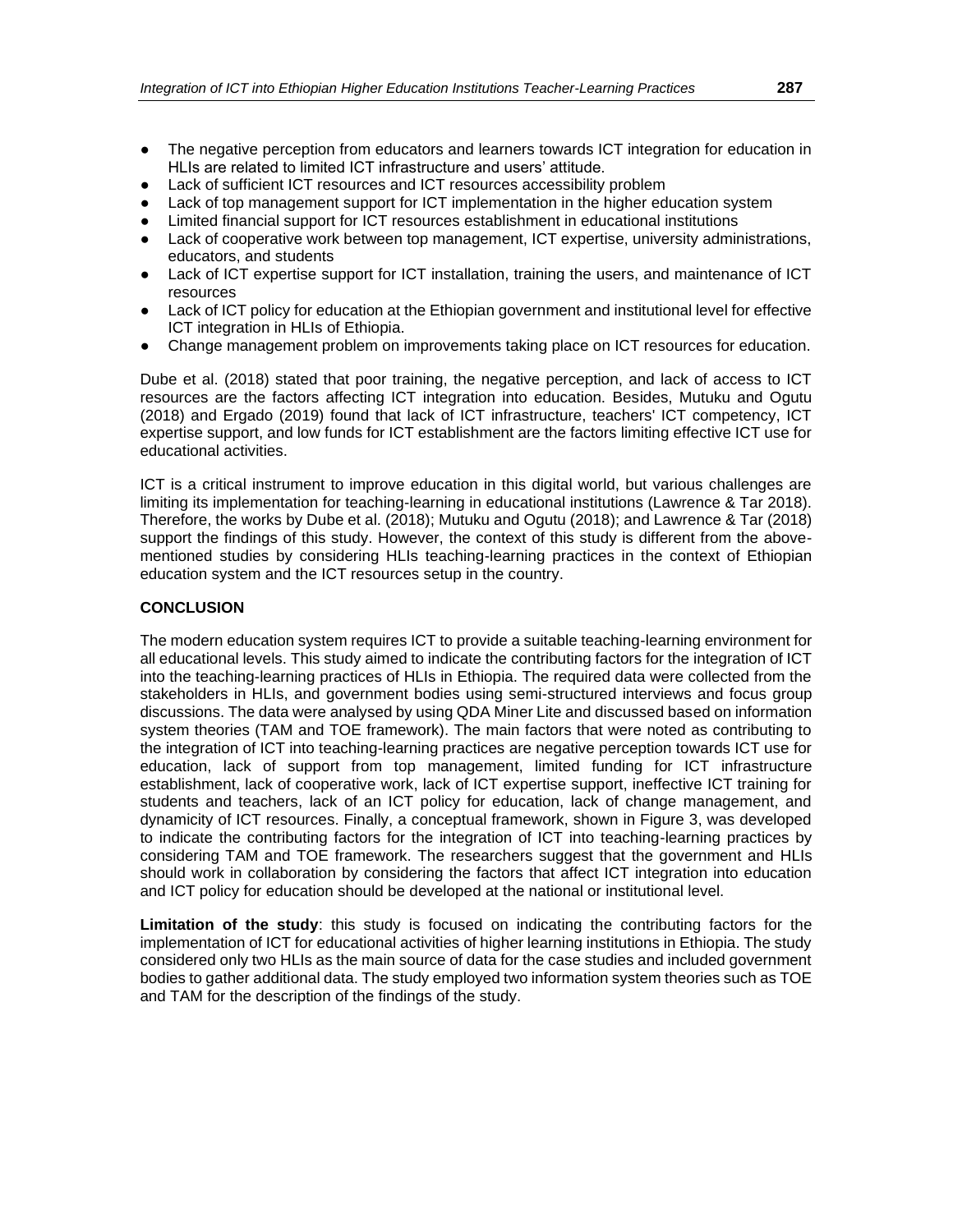- The negative perception from educators and learners towards ICT integration for education in HLIs are related to limited ICT infrastructure and users' attitude.
- Lack of sufficient ICT resources and ICT resources accessibility problem
- Lack of top management support for ICT implementation in the higher education system
- Limited financial support for ICT resources establishment in educational institutions
- Lack of cooperative work between top management, ICT expertise, university administrations, educators, and students
- Lack of ICT expertise support for ICT installation, training the users, and maintenance of ICT resources
- Lack of ICT policy for education at the Ethiopian government and institutional level for effective ICT integration in HLIs of Ethiopia.
- Change management problem on improvements taking place on ICT resources for education.

Dube et al. (2018) stated that poor training, the negative perception, and lack of access to ICT resources are the factors affecting ICT integration into education. Besides, Mutuku and Ogutu (2018) and Ergado (2019) found that lack of ICT infrastructure, teachers' ICT competency, ICT expertise support, and low funds for ICT establishment are the factors limiting effective ICT use for educational activities.

ICT is a critical instrument to improve education in this digital world, but various challenges are limiting its implementation for teaching-learning in educational institutions (Lawrence & Tar 2018). Therefore, the works by Dube et al. (2018); Mutuku and Ogutu (2018); and Lawrence & Tar (2018) support the findings of this study. However, the context of this study is different from the abovementioned studies by considering HLIs teaching-learning practices in the context of Ethiopian education system and the ICT resources setup in the country.

#### **CONCLUSION**

The modern education system requires ICT to provide a suitable teaching-learning environment for all educational levels. This study aimed to indicate the contributing factors for the integration of ICT into the teaching-learning practices of HLIs in Ethiopia. The required data were collected from the stakeholders in HLIs, and government bodies using semi-structured interviews and focus group discussions. The data were analysed by using QDA Miner Lite and discussed based on information system theories (TAM and TOE framework). The main factors that were noted as contributing to the integration of ICT into teaching-learning practices are negative perception towards ICT use for education, lack of support from top management, limited funding for ICT infrastructure establishment, lack of cooperative work, lack of ICT expertise support, ineffective ICT training for students and teachers, lack of an ICT policy for education, lack of change management, and dynamicity of ICT resources. Finally, a conceptual framework, shown in Figure 3, was developed to indicate the contributing factors for the integration of ICT into teaching-learning practices by considering TAM and TOE framework. The researchers suggest that the government and HLIs should work in collaboration by considering the factors that affect ICT integration into education and ICT policy for education should be developed at the national or institutional level.

**Limitation of the study**: this study is focused on indicating the contributing factors for the implementation of ICT for educational activities of higher learning institutions in Ethiopia. The study considered only two HLIs as the main source of data for the case studies and included government bodies to gather additional data. The study employed two information system theories such as TOE and TAM for the description of the findings of the study.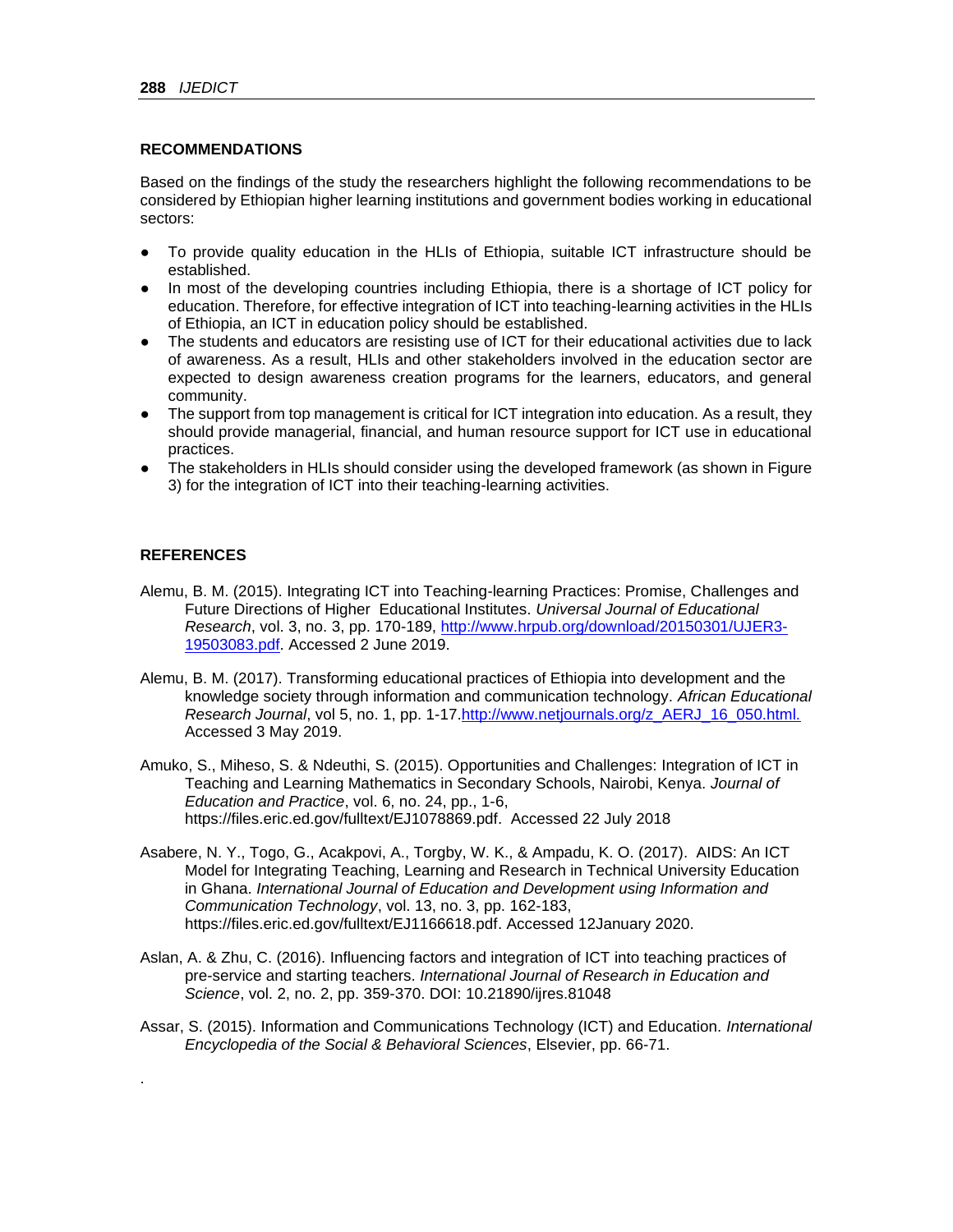#### **RECOMMENDATIONS**

Based on the findings of the study the researchers highlight the following recommendations to be considered by Ethiopian higher learning institutions and government bodies working in educational sectors:

- To provide quality education in the HLIs of Ethiopia, suitable ICT infrastructure should be established.
- In most of the developing countries including Ethiopia, there is a shortage of ICT policy for education. Therefore, for effective integration of ICT into teaching-learning activities in the HLIs of Ethiopia, an ICT in education policy should be established.
- The students and educators are resisting use of ICT for their educational activities due to lack of awareness. As a result, HLIs and other stakeholders involved in the education sector are expected to design awareness creation programs for the learners, educators, and general community.
- The support from top management is critical for ICT integration into education. As a result, they should provide managerial, financial, and human resource support for ICT use in educational practices.
- The stakeholders in HLIs should consider using the developed framework (as shown in Figure 3) for the integration of ICT into their teaching-learning activities.

#### **REFERENCES**

.

- Alemu, B. M. (2015). Integrating ICT into Teaching-learning Practices: Promise, Challenges and Future Directions of Higher Educational Institutes. *Universal Journal of Educational Research*, vol. 3, no. 3, pp. 170-189, [http://www.hrpub.org/download/20150301/UJER3-](http://www.hrpub.org/download/20150301/UJER3-19503083.pdf) [19503083.pdf.](http://www.hrpub.org/download/20150301/UJER3-19503083.pdf) Accessed 2 June 2019.
- Alemu, B. M. (2017). Transforming educational practices of Ethiopia into development and the knowledge society through information and communication technology. *African Educational Research Journal*, vol 5, no. 1, pp. 1-17[.http://www.netjournals.org/z\\_AERJ\\_16\\_050.html.](http://www.netjournals.org/z_AERJ_16_050.html.%20Accessed%203%20May%202019)  Accessed 3 May 2019.
- Amuko, S., Miheso, S. & Ndeuthi, S. (2015). Opportunities and Challenges: Integration of ICT in Teaching and Learning Mathematics in Secondary Schools, Nairobi, Kenya. *Journal of Education and Practice*, vol. 6, no. 24, pp., 1-6, [https://files.eric.ed.gov/fulltext/EJ1078869.pdf.](https://files.eric.ed.gov/fulltext/EJ1078869.pdf) Accessed 22 July 2018
- Asabere, N. Y., Togo, G., Acakpovi, A., Torgby, W. K., & Ampadu, K. O. (2017). AIDS: An ICT Model for Integrating Teaching, Learning and Research in Technical University Education in Ghana. *International Journal of Education and Development using Information and Communication Technology*, vol. 13, no. 3, pp. 162-183, [https://files.eric.ed.gov/fulltext/EJ1166618.pdf.](https://files.eric.ed.gov/fulltext/EJ1166618.pdf) Accessed 12January 2020.
- Aslan, A. & Zhu, C. (2016). Influencing factors and integration of ICT into teaching practices of pre-service and starting teachers. *International Journal of Research in Education and Science*, vol. 2, no. 2, pp. 359-370. DOI: [10.21890/ijres.81048](https://www.researchgate.net/deref/http%3A%2F%2Fdx.doi.org%2F10.21890%2Fijres.81048?_sg%5B0%5D=g-0SP2TYCno3AFGhUTl0FMSuYT4VIMjNCrTuoIvuG4VknxXxobvgwkn9_ZRUD-_6qVEra59T0Y6gsE9AMXUZj7hieA.x6Z9YZgz3jCgpaqkWuA7sA7YoI2mcJ-2YTbW0f7KHZqkzl_AWWC_dVRUefAWkJQwudeqHZXf1HWcl-xqBNclNQ)
- Assar, S. (2015). Information and Communications Technology (ICT) and Education. *International Encyclopedia of the Social & Behavioral Sciences*, Elsevier, pp. 66-71.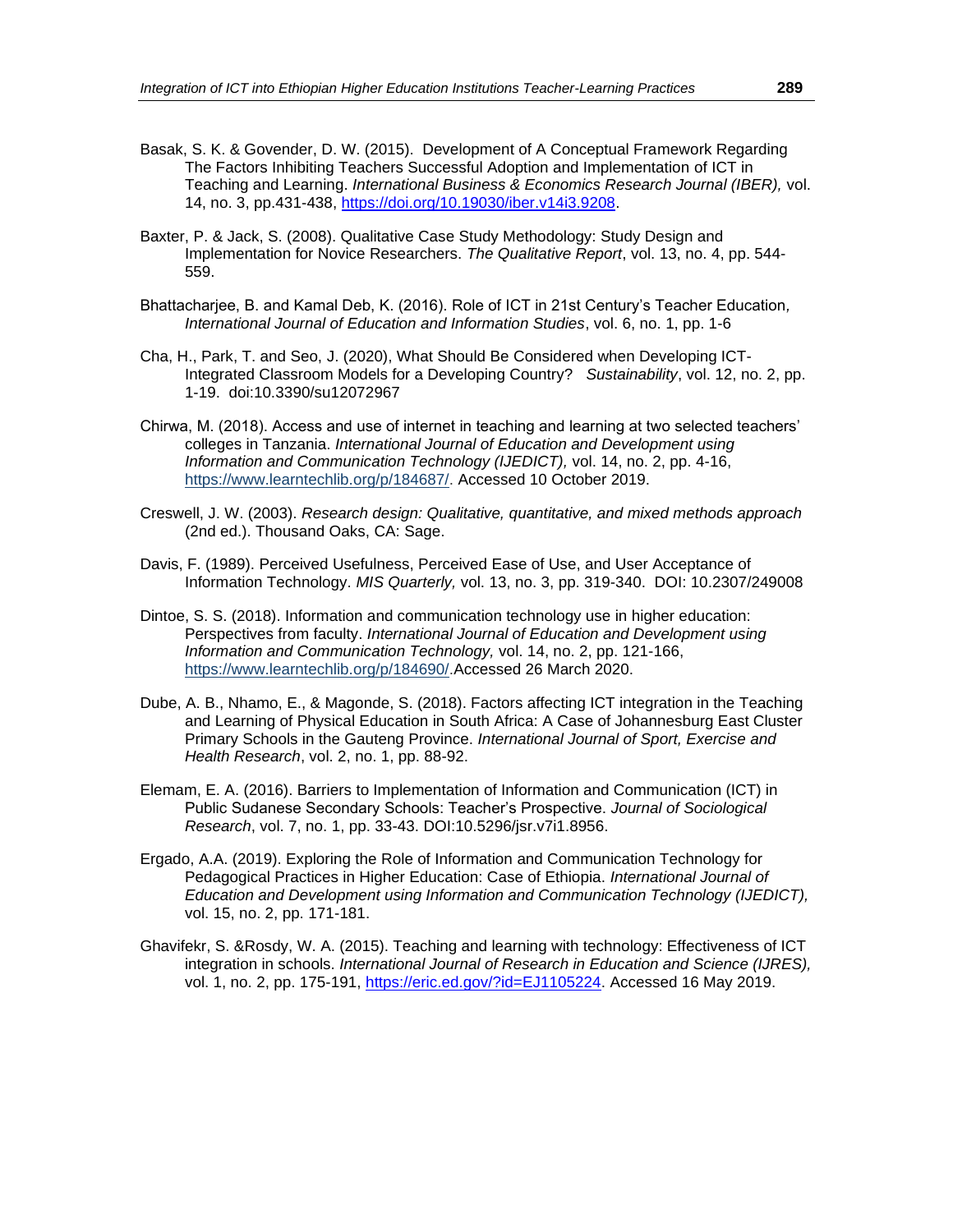- Basak, S. K. & Govender, D. W. (2015). Development of A Conceptual Framework Regarding The Factors Inhibiting Teachers Successful Adoption and Implementation of ICT in Teaching and Learning. *International Business & Economics Research Journal (IBER),* vol. 14, no. 3, pp.431-438, [https://doi.org/10.19030/iber.v14i3.9208.](https://doi.org/10.19030/iber.v14i3.9208)
- Baxter, P. & Jack, S. (2008). Qualitative Case Study Methodology: Study Design and Implementation for Novice Researchers. *The Qualitative Report*, vol. 13, no. 4, pp. 544- 559.
- Bhattacharjee, B. and Kamal Deb, K. (2016). Role of ICT in 21st Century's Teacher Education*, International Journal of Education and Information Studies*, vol. 6, no. 1, pp. 1-6
- Cha, H., Park, T. and Seo, J. (2020), What Should Be Considered when Developing ICT-Integrated Classroom Models for a Developing Country? *Sustainability*, vol. 12, no. 2, pp. 1-19. doi:10.3390/su12072967
- Chirwa, M. (2018). Access and use of internet in teaching and learning at two selected teachers' colleges in Tanzania. *International Journal of Education and Development using Information and Communication Technology (IJEDICT),* vol. 14, no. 2, pp. 4-16, [https://www.learntechlib.org/p/184687/.](https://www.learntechlib.org/p/184687/) Accessed 10 October 2019.
- Creswell, J. W. (2003). *Research design: Qualitative, quantitative, and mixed methods approach* (2nd ed.). Thousand Oaks, CA: Sage.
- Davis, F. (1989). Perceived Usefulness, Perceived Ease of Use, and User Acceptance of Information Technology. *MIS Quarterly,* vol. 13, no. 3, pp. 319-340. DOI: 10.2307/249008
- Dintoe, S. S. (2018). Information and communication technology use in higher education: Perspectives from faculty. *International Journal of Education and Development using Information and Communication Technology,* vol. 14, no. 2, pp. 121-166, [https://www.learntechlib.org/p/184690/.](https://www.learntechlib.org/p/184690/)Accessed 26 March 2020.
- Dube, A. B., Nhamo, E., & Magonde, S. (2018). Factors affecting ICT integration in the Teaching and Learning of Physical Education in South Africa: A Case of Johannesburg East Cluster Primary Schools in the Gauteng Province. *International Journal of Sport, Exercise and Health Research*, vol. 2, no. 1, pp. 88-92.
- Elemam, E. A. (2016). Barriers to Implementation of Information and Communication (ICT) in Public Sudanese Secondary Schools: Teacher's Prospective. *Journal of Sociological Research*, vol. 7, no. 1, pp. 33-43. DOI:10.5296/jsr.v7i1.8956.
- Ergado, A.A. (2019). Exploring the Role of Information and Communication Technology for Pedagogical Practices in Higher Education: Case of Ethiopia. *International Journal of Education and Development using Information and Communication Technology (IJEDICT),* vol. 15, no. 2, pp. 171-181.
- Ghavifekr, S. &Rosdy, W. A. (2015). Teaching and learning with technology: Effectiveness of ICT integration in schools. *International Journal of Research in Education and Science (IJRES),*  vol. 1, no. 2, pp. 175-191, [https://eric.ed.gov/?id=EJ1105224.](https://eric.ed.gov/?id=EJ1105224) Accessed 16 May 2019.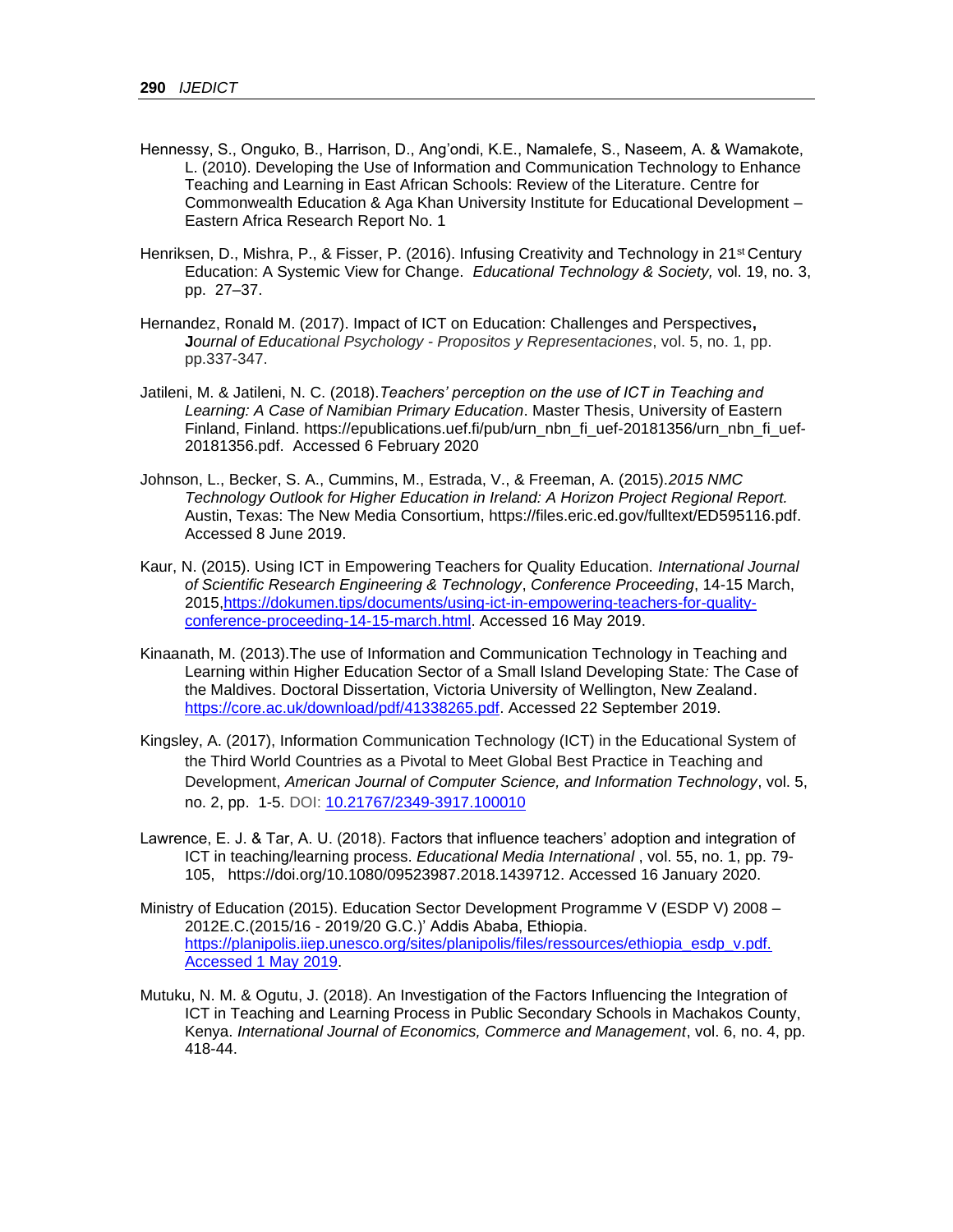- Hennessy, S., Onguko, B., Harrison, D., Ang'ondi, K.E., Namalefe, S., Naseem, A. & Wamakote, L. (2010). Developing the Use of Information and Communication Technology to Enhance Teaching and Learning in East African Schools: Review of the Literature. Centre for Commonwealth Education & Aga Khan University Institute for Educational Development – Eastern Africa Research Report No. 1
- Henriksen, D., Mishra, P., & Fisser, P. (2016). Infusing Creativity and Technology in 21<sup>st</sup> Century Education: A Systemic View for Change. *Educational Technology & Society,* vol. 19, no. 3, pp. 27–37.
- Hernandez, Ronald M. (2017). Impact of ICT on Education: Challenges and Perspectives**, J***ournal of Educational Psychology - Propositos y Representaciones*, vol. 5, no. 1, pp. pp.337-347.
- Jatileni, M. & Jatileni, N. C. (2018).*Teachers' perception on the use of ICT in Teaching and Learning: A Case of Namibian Primary Education*. Master Thesis, University of Eastern Finland, Finland. [https://epublications.uef.fi/pub/urn\\_nbn\\_fi\\_uef-20181356/urn\\_nbn\\_fi\\_uef-](https://epublications.uef.fi/pub/urn_nbn_fi_uef-20181356/urn_nbn_fi_uef-20181356.pdf)[20181356.pdf.](https://epublications.uef.fi/pub/urn_nbn_fi_uef-20181356/urn_nbn_fi_uef-20181356.pdf) Accessed 6 February 2020
- Johnson, L., Becker, S. A., Cummins, M., Estrada, V., & Freeman, A. (2015).*2015 NMC Technology Outlook for Higher Education in Ireland: A Horizon Project Regional Report.* Austin, Texas: The New Media Consortium, [https://files.eric.ed.gov/fulltext/ED595116.pdf.](https://files.eric.ed.gov/fulltext/ED595116.pdf) Accessed 8 June 2019.
- Kaur, N. (2015). Using ICT in Empowering Teachers for Quality Education. *International Journal of Scientific Research Engineering & Technology*, *Conference Proceeding*, 14-15 March, 2015[,https://dokumen.tips/documents/using-ict-in-empowering-teachers-for-quality](https://dokumen.tips/documents/using-ict-in-empowering-teachers-for-quality-conference-proceeding-14-15-march.html)[conference-proceeding-14-15-march.html.](https://dokumen.tips/documents/using-ict-in-empowering-teachers-for-quality-conference-proceeding-14-15-march.html) Accessed 16 May 2019.
- Kinaanath, M. (2013).The use of Information and Communication Technology in Teaching and Learning within Higher Education Sector of a Small Island Developing State*:* The Case of the Maldives. Doctoral Dissertation, Victoria University of Wellington, New Zealand. [https://core.ac.uk/download/pdf/41338265.pdf.](https://core.ac.uk/download/pdf/41338265.pdf) Accessed 22 September 2019.
- Kingsley, A. (2017), Information Communication Technology (ICT) in the Educational System of the Third World Countries as a Pivotal to Meet Global Best Practice in Teaching and Development, *American Journal of Computer Science, and Information Technology*, vol. 5, no. 2, pp. 1-5. DOI: [10.21767/2349-3917.100010](https://www.researchgate.net/deref/http%3A%2F%2Fdx.doi.org%2F10.21767%2F2349-3917.100010)
- Lawrence, E. J. & Tar, A. U. (2018). Factors that influence teachers' adoption and integration of ICT in teaching/learning process. *Educational Media International* , vol. 55, no. 1, pp. 79- 105, [https://doi.org/10.1080/09523987.2018.1439712.](https://doi.org/10.1080/09523987.2018.1439712) Accessed 16 January 2020.
- Ministry of Education (2015). Education Sector Development Programme V (ESDP V) 2008 2012E.C.(2015/16 - 2019/20 G.C.)' Addis Ababa, Ethiopia. [https://planipolis.iiep.unesco.org/sites/planipolis/files/ressources/ethiopia\\_esdp\\_v.pdf.](https://planipolis.iiep.unesco.org/sites/planipolis/files/ressources/ethiopia_esdp_v.pdf.%20Accessed%201%20May%202019)  [Accessed 1 May 2019.](https://planipolis.iiep.unesco.org/sites/planipolis/files/ressources/ethiopia_esdp_v.pdf.%20Accessed%201%20May%202019)
- Mutuku, N. M. & Ogutu, J. (2018). An Investigation of the Factors Influencing the Integration of ICT in Teaching and Learning Process in Public Secondary Schools in Machakos County, Kenya. *International Journal of Economics, Commerce and Management*, vol. 6, no. 4, pp. 418-44.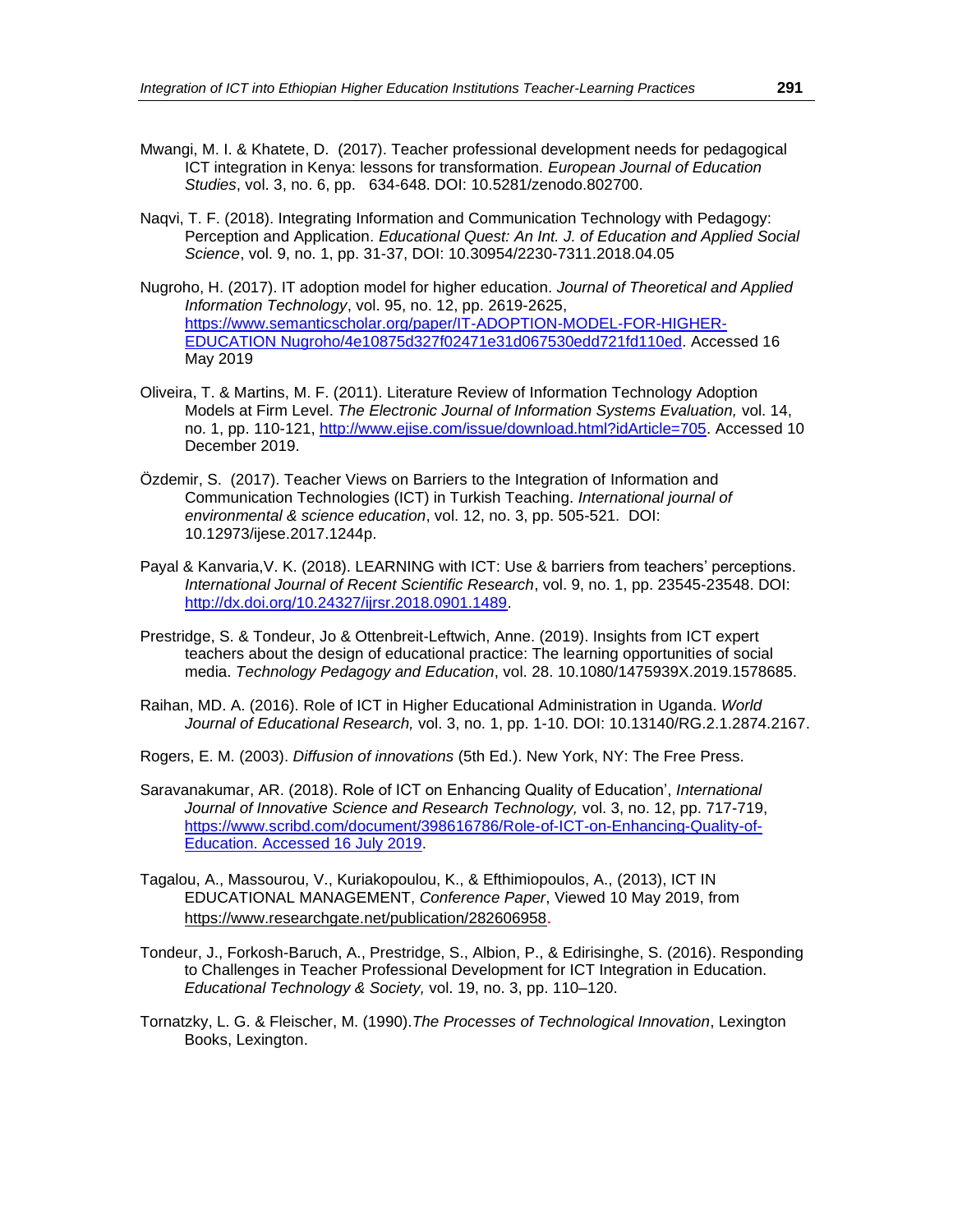- Mwangi, M. I. & Khatete, D. (2017). Teacher professional development needs for pedagogical ICT integration in Kenya: lessons for transformation. *European Journal of Education Studies*, vol. 3, no. 6, pp. 634-648. DOI: [10.5281/zenodo.802700.](https://doi.org/10.5281/zenodo.802700)
- Naqvi, T. F. (2018). Integrating Information and Communication Technology with Pedagogy: Perception and Application. *Educational Quest: An Int. J. of Education and Applied Social Science*, vol. 9, no. 1, pp. 31-37, DOI: 10.30954/2230-7311.2018.04.05
- Nugroho, H. (2017). IT adoption model for higher education. *Journal of Theoretical and Applied Information Technology*, vol. 95, no. 12, pp. 2619-2625, [https://www.semanticscholar.org/paper/IT-ADOPTION-MODEL-FOR-HIGHER-](https://www.semanticscholar.org/paper/IT-ADOPTION-MODEL-FOR-HIGHER-EDUCATION%20Nugroho/4e10875d327f02471e31d067530edd721fd110ed)[EDUCATION Nugroho/4e10875d327f02471e31d067530edd721fd110ed.](https://www.semanticscholar.org/paper/IT-ADOPTION-MODEL-FOR-HIGHER-EDUCATION%20Nugroho/4e10875d327f02471e31d067530edd721fd110ed) Accessed 16 May 2019
- Oliveira, T. & Martins, M. F. (2011). Literature Review of Information Technology Adoption Models at Firm Level. *The Electronic Journal of Information Systems Evaluation,* vol. 14, no. 1, pp. 110-121, [http://www.ejise.com/issue/download.html?idArticle=705.](http://www.ejise.com/issue/download.html?idArticle=705) Accessed 10 December 2019.
- Özdemir, S. (2017). Teacher Views on Barriers to the Integration of Information and Communication Technologies (ICT) in Turkish Teaching. *International journal of environmental & science education*, vol. 12, no. 3, pp. 505-521. DOI: 10.12973/ijese.2017.1244p.
- Payal & Kanvaria,V. K. (2018). LEARNING with ICT: Use & barriers from teachers' perceptions. *International Journal of Recent Scientific Research*, vol. 9, no. 1, pp. 23545-23548. DOI: [http://dx.doi.org/10.24327/ijrsr.2018.0901.1489.](http://dx.doi.org/10.24327/ijrsr.2018.0901.1489)
- Prestridge, S. & Tondeur, Jo & Ottenbreit-Leftwich, Anne. (2019). Insights from ICT expert teachers about the design of educational practice: The learning opportunities of social media. *Technology Pedagogy and Education*, vol. 28. 10.1080/1475939X.2019.1578685.
- [Raihan,](https://www.researchgate.net/profile/Dr_Raihan?_sg%5B0%5D=ACsT9kiCZixnDxAz9kw-sjnelEcJ3iFmRtwVVmDIrrc3KWjvPrXUvupWi8oiQJZ9lxgK55I.rnL4EBJSSoGa6HkYCE8jAQ7m0ZYefNYEIXMh3KnUh3lLzF4v7zsGVwsyMV210zxBdq4v_CiAHkm_vqTvBJpFxg&_sg%5B1%5D=-6qwFbN1klj9jvHUOMiGU_fMDzzQejwZMun0YOVfRa8Mjt8_v0LfPPnon-djKUE6omT9J3E.zw8uAQ2q1lPjS_5gsGBHNuuOgc6EBPQDgIczcuTVisd6pwD9a1h8NpCJz3du4ZMCOTD9wBWpr4YScgVTelZwVg) MD. A. (2016). Role of ICT in Higher Educational Administration in Uganda. *World Journal of Educational Research,* vol. 3, no. 1, pp. 1-10. DOI: [10.13140/RG.2.1.2874.2167.](https://www.researchgate.net/deref/http%3A%2F%2Fdx.doi.org%2F10.13140%2FRG.2.1.2874.2167?_sg%5B0%5D=RhsrvJhICNjYysnQ2NIjktqPBESTwncCwLoflWDLXUa0HQbbvqB7q_hBuLoE61K9kE6JIlxE8eiSAzY8W6aHOEuSUw.N-PgkAKh30ISkz1g1Ju7n23By0D-6j5Gf1I_4od3qdNi7wDTiCoNoGsPkLLKXydYSqkSK5E6hXKI8lgd6r-QSw)
- Rogers, E. M. (2003). *Diffusion of innovations* (5th Ed.). New York, NY: The Free Press.
- Saravanakumar, AR. (2018). Role of ICT on Enhancing Quality of Education', *International Journal of Innovative Science and Research Technology,* vol. 3, no. 12, pp. 717-719, [https://www.scribd.com/document/398616786/Role-of-ICT-on-Enhancing-Quality-of-](https://www.scribd.com/document/398616786/Role-of-ICT-on-Enhancing-Quality-of-Education.%20Accessed%2016%20July%202019)[Education. Accessed 16 July 2019.](https://www.scribd.com/document/398616786/Role-of-ICT-on-Enhancing-Quality-of-Education.%20Accessed%2016%20July%202019)
- Tagalou, A., Massourou, V., Kuriakopoulou, K., & Efthimiopoulos, A., (2013), ICT IN EDUCATIONAL MANAGEMENT, *Conference Paper*, Viewed 10 May 2019, from <https://www.researchgate.net/publication/282606958>.
- Tondeur, J., Forkosh-Baruch, A., Prestridge, S., Albion, P., & Edirisinghe, S. (2016). Responding to Challenges in Teacher Professional Development for ICT Integration in Education. *Educational Technology & Society,* vol. 19, no. 3, pp. 110–120.
- Tornatzky, L. G. & Fleischer, M. (1990).*The Processes of Technological Innovation*, Lexington Books, Lexington.